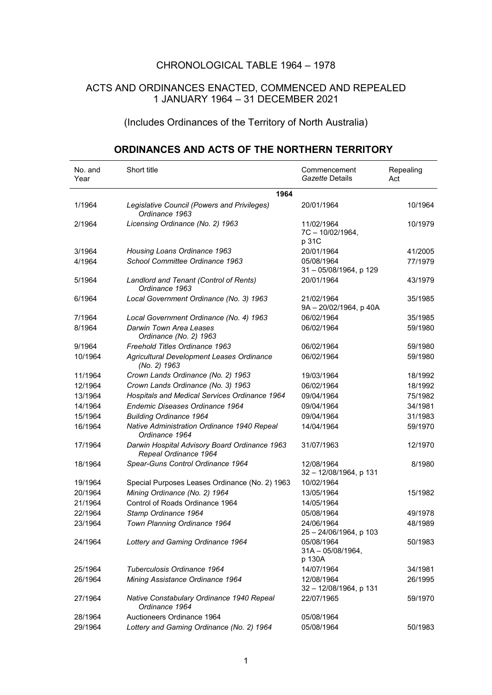## CHRONOLOGICAL TABLE 1964 – 1978

## ACTS AND ORDINANCES ENACTED, COMMENCED AND REPEALED 1 JANUARY 1964 – 31 DECEMBER 2021

(Includes Ordinances of the Territory of North Australia)

## **ORDINANCES AND ACTS OF THE NORTHERN TERRITORY**

| No. and<br>Year | Short title                                                            | Commencement<br>Gazette Details              | Repealing<br>Act |
|-----------------|------------------------------------------------------------------------|----------------------------------------------|------------------|
|                 | 1964                                                                   |                                              |                  |
| 1/1964          | Legislative Council (Powers and Privileges)<br>Ordinance 1963          | 20/01/1964                                   | 10/1964          |
| 2/1964          | Licensing Ordinance (No. 2) 1963                                       | 11/02/1964<br>7C-10/02/1964,<br>p 31C        | 10/1979          |
| 3/1964          | Housing Loans Ordinance 1963                                           | 20/01/1964                                   | 41/2005          |
| 4/1964          | School Committee Ordinance 1963                                        | 05/08/1964<br>31 - 05/08/1964, p 129         | 77/1979          |
| 5/1964          | Landlord and Tenant (Control of Rents)<br>Ordinance 1963               | 20/01/1964                                   | 43/1979          |
| 6/1964          | Local Government Ordinance (No. 3) 1963                                | 21/02/1964<br>9A - 20/02/1964, p 40A         | 35/1985          |
| 7/1964          | Local Government Ordinance (No. 4) 1963                                | 06/02/1964                                   | 35/1985          |
| 8/1964          | Darwin Town Area Leases<br>Ordinance (No. 2) 1963                      | 06/02/1964                                   | 59/1980          |
| 9/1964          | Freehold Titles Ordinance 1963                                         | 06/02/1964                                   | 59/1980          |
| 10/1964         | Agricultural Development Leases Ordinance<br>(No. 2) 1963              | 06/02/1964                                   | 59/1980          |
| 11/1964         | Crown Lands Ordinance (No. 2) 1963                                     | 19/03/1964                                   | 18/1992          |
| 12/1964         | Crown Lands Ordinance (No. 3) 1963                                     | 06/02/1964                                   | 18/1992          |
| 13/1964         | Hospitals and Medical Services Ordinance 1964                          | 09/04/1964                                   | 75/1982          |
| 14/1964         | Endemic Diseases Ordinance 1964                                        | 09/04/1964                                   | 34/1981          |
| 15/1964         | <b>Building Ordinance 1964</b>                                         | 09/04/1964                                   | 31/1983          |
| 16/1964         | Native Administration Ordinance 1940 Repeal<br>Ordinance 1964          | 14/04/1964                                   | 59/1970          |
| 17/1964         | Darwin Hospital Advisory Board Ordinance 1963<br>Repeal Ordinance 1964 | 31/07/1963                                   | 12/1970          |
| 18/1964         | Spear-Guns Control Ordinance 1964                                      | 12/08/1964<br>32 - 12/08/1964, p 131         | 8/1980           |
| 19/1964         | Special Purposes Leases Ordinance (No. 2) 1963                         | 10/02/1964                                   |                  |
| 20/1964         | Mining Ordinance (No. 2) 1964                                          | 13/05/1964                                   | 15/1982          |
| 21/1964         | Control of Roads Ordinance 1964                                        | 14/05/1964                                   |                  |
| 22/1964         | Stamp Ordinance 1964                                                   | 05/08/1964                                   | 49/1978          |
| 23/1964         | Town Planning Ordinance 1964                                           | 24/06/1964<br>25 - 24/06/1964, p 103         | 48/1989          |
| 24/1964         | Lottery and Gaming Ordinance 1964                                      | 05/08/1964<br>$31A - 05/08/1964$ ,<br>p 130A | 50/1983          |
| 25/1964         | Tuberculosis Ordinance 1964                                            | 14/07/1964                                   | 34/1981          |
| 26/1964         | Mining Assistance Ordinance 1964                                       | 12/08/1964<br>$32 - 12/08/1964$ , p 131      | 26/1995          |
| 27/1964         | Native Constabulary Ordinance 1940 Repeal<br>Ordinance 1964            | 22/07/1965                                   | 59/1970          |
| 28/1964         | Auctioneers Ordinance 1964                                             | 05/08/1964                                   |                  |
| 29/1964         | Lottery and Gaming Ordinance (No. 2) 1964                              | 05/08/1964                                   | 50/1983          |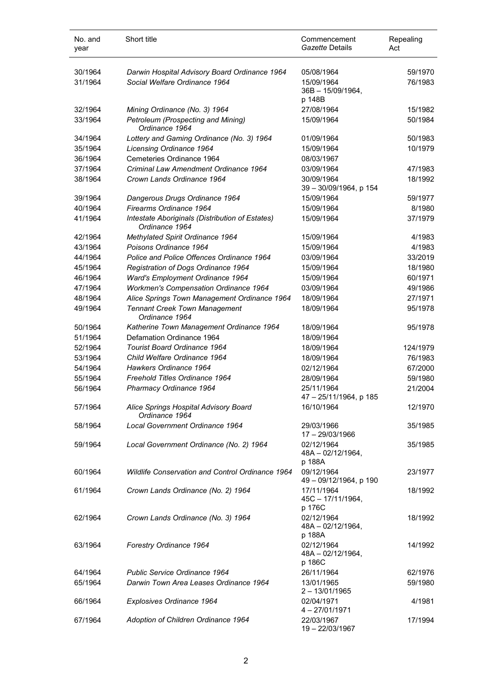| No. and<br>year | Short title                                                       | Commencement<br>Gazette Details              | Repealing<br>Act |
|-----------------|-------------------------------------------------------------------|----------------------------------------------|------------------|
| 30/1964         | Darwin Hospital Advisory Board Ordinance 1964                     | 05/08/1964                                   | 59/1970          |
| 31/1964         | Social Welfare Ordinance 1964                                     | 15/09/1964<br>$36B - 15/09/1964$ ,<br>p 148B | 76/1983          |
| 32/1964         | Mining Ordinance (No. 3) 1964                                     | 27/08/1964                                   | 15/1982          |
| 33/1964         | Petroleum (Prospecting and Mining)<br>Ordinance 1964              | 15/09/1964                                   | 50/1984          |
| 34/1964         | Lottery and Gaming Ordinance (No. 3) 1964                         | 01/09/1964                                   | 50/1983          |
| 35/1964         | Licensing Ordinance 1964                                          | 15/09/1964                                   | 10/1979          |
| 36/1964         | Cemeteries Ordinance 1964                                         | 08/03/1967                                   |                  |
| 37/1964         | Criminal Law Amendment Ordinance 1964                             | 03/09/1964                                   | 47/1983          |
| 38/1964         | Crown Lands Ordinance 1964                                        | 30/09/1964<br>39 - 30/09/1964, p 154         | 18/1992          |
| 39/1964         | Dangerous Drugs Ordinance 1964                                    | 15/09/1964                                   | 59/1977          |
| 40/1964         | Firearms Ordinance 1964                                           | 15/09/1964                                   | 8/1980           |
| 41/1964         | Intestate Aboriginals (Distribution of Estates)<br>Ordinance 1964 | 15/09/1964                                   | 37/1979          |
| 42/1964         | Methylated Spirit Ordinance 1964                                  | 15/09/1964                                   | 4/1983           |
| 43/1964         | Poisons Ordinance 1964                                            | 15/09/1964                                   | 4/1983           |
| 44/1964         | Police and Police Offences Ordinance 1964                         | 03/09/1964                                   | 33/2019          |
| 45/1964         | Registration of Dogs Ordinance 1964                               | 15/09/1964                                   | 18/1980          |
| 46/1964         | Ward's Employment Ordinance 1964                                  | 15/09/1964                                   | 60/1971          |
| 47/1964         | <b>Workmen's Compensation Ordinance 1964</b>                      | 03/09/1964                                   | 49/1986          |
| 48/1964         | Alice Springs Town Management Ordinance 1964                      | 18/09/1964                                   | 27/1971          |
| 49/1964         | <b>Tennant Creek Town Management</b><br>Ordinance 1964            | 18/09/1964                                   | 95/1978          |
| 50/1964         | Katherine Town Management Ordinance 1964                          | 18/09/1964                                   | 95/1978          |
| 51/1964         | Defamation Ordinance 1964                                         | 18/09/1964                                   |                  |
| 52/1964         | Tourist Board Ordinance 1964                                      | 18/09/1964                                   | 124/1979         |
| 53/1964         | Child Welfare Ordinance 1964                                      | 18/09/1964                                   | 76/1983          |
| 54/1964         | Hawkers Ordinance 1964                                            | 02/12/1964                                   | 67/2000          |
| 55/1964         | Freehold Titles Ordinance 1964                                    | 28/09/1964                                   | 59/1980          |
| 56/1964         | Pharmacy Ordinance 1964                                           | 25/11/1964<br>47 - 25/11/1964, p 185         | 21/2004          |
| 57/1964         | Alice Springs Hospital Advisory Board<br>Ordinance 1964           | 16/10/1964                                   | 12/1970          |
| 58/1964         | Local Government Ordinance 1964                                   | 29/03/1966<br>17 - 29/03/1966                | 35/1985          |
| 59/1964         | Local Government Ordinance (No. 2) 1964                           | 02/12/1964<br>$48A - 02/12/1964$ ,<br>p 188A | 35/1985          |
| 60/1964         | Wildlife Conservation and Control Ordinance 1964                  | 09/12/1964<br>49 - 09/12/1964, p 190         | 23/1977          |
| 61/1964         | Crown Lands Ordinance (No. 2) 1964                                | 17/11/1964<br>45C - 17/11/1964,<br>p 176C    | 18/1992          |
| 62/1964         | Crown Lands Ordinance (No. 3) 1964                                | 02/12/1964<br>48A - 02/12/1964,<br>p 188A    | 18/1992          |
| 63/1964         | Forestry Ordinance 1964                                           | 02/12/1964<br>48A - 02/12/1964,<br>p 186C    | 14/1992          |
| 64/1964         | <b>Public Service Ordinance 1964</b>                              | 26/11/1964                                   | 62/1976          |
| 65/1964         | Darwin Town Area Leases Ordinance 1964                            | 13/01/1965<br>$2 - 13/01/1965$               | 59/1980          |
| 66/1964         | Explosives Ordinance 1964                                         | 02/04/1971<br>$4 - 27/01/1971$               | 4/1981           |
| 67/1964         | Adoption of Children Ordinance 1964                               | 22/03/1967<br>19-22/03/1967                  | 17/1994          |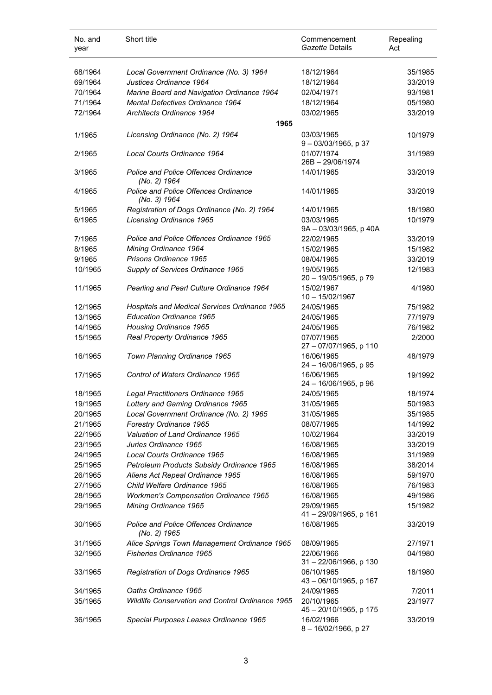| No. and<br>year | Short title                                                 | Commencement<br>Gazette Details       | Repealing<br>Act |
|-----------------|-------------------------------------------------------------|---------------------------------------|------------------|
| 68/1964         | Local Government Ordinance (No. 3) 1964                     | 18/12/1964                            | 35/1985          |
| 69/1964         | Justices Ordinance 1964                                     | 18/12/1964                            | 33/2019          |
| 70/1964         | Marine Board and Navigation Ordinance 1964                  | 02/04/1971                            | 93/1981          |
| 71/1964         | Mental Defectives Ordinance 1964                            | 18/12/1964                            | 05/1980          |
| 72/1964         | Architects Ordinance 1964                                   | 03/02/1965                            | 33/2019          |
|                 | 1965                                                        |                                       |                  |
| 1/1965          | Licensing Ordinance (No. 2) 1964                            | 03/03/1965<br>$9 - 03/03/1965$ , p 37 | 10/1979          |
| 2/1965          | Local Courts Ordinance 1964                                 | 01/07/1974<br>26B-29/06/1974          | 31/1989          |
| 3/1965          | Police and Police Offences Ordinance<br>(No. 2) 1964        | 14/01/1965                            | 33/2019          |
| 4/1965          | Police and Police Offences Ordinance<br>(No. 3) 1964        | 14/01/1965                            | 33/2019          |
| 5/1965          | Registration of Dogs Ordinance (No. 2) 1964                 | 14/01/1965                            | 18/1980          |
| 6/1965          | Licensing Ordinance 1965                                    | 03/03/1965<br>9A - 03/03/1965, p 40A  | 10/1979          |
| 7/1965          | Police and Police Offences Ordinance 1965                   | 22/02/1965                            | 33/2019          |
| 8/1965          | Mining Ordinance 1964                                       | 15/02/1965                            | 15/1982          |
| 9/1965          | Prisons Ordinance 1965                                      | 08/04/1965                            | 33/2019          |
| 10/1965         | Supply of Services Ordinance 1965                           | 19/05/1965<br>20 - 19/05/1965, p 79   | 12/1983          |
| 11/1965         | Pearling and Pearl Culture Ordinance 1964                   | 15/02/1967<br>$10 - 15/02/1967$       | 4/1980           |
| 12/1965         | Hospitals and Medical Services Ordinance 1965               | 24/05/1965                            | 75/1982          |
| 13/1965         | <b>Education Ordinance 1965</b>                             | 24/05/1965                            | 77/1979          |
| 14/1965         | Housing Ordinance 1965                                      | 24/05/1965                            | 76/1982          |
| 15/1965         | Real Property Ordinance 1965                                | 07/07/1965<br>27 - 07/07/1965, p 110  | 2/2000           |
| 16/1965         | Town Planning Ordinance 1965                                | 16/06/1965<br>24 - 16/06/1965, p 95   | 48/1979          |
| 17/1965         | Control of Waters Ordinance 1965                            | 16/06/1965<br>24 - 16/06/1965, p 96   | 19/1992          |
| 18/1965         | Legal Practitioners Ordinance 1965                          | 24/05/1965                            | 18/1974          |
| 19/1965         | Lottery and Gaming Ordinance 1965                           | 31/05/1965                            | 50/1983          |
| 20/1965         | Local Government Ordinance (No. 2) 1965                     | 31/05/1965                            | 35/1985          |
| 21/1965         | Forestry Ordinance 1965                                     | 08/07/1965                            | 14/1992          |
| 22/1965         | Valuation of Land Ordinance 1965                            | 10/02/1964                            | 33/2019          |
| 23/1965         | Juries Ordinance 1965                                       | 16/08/1965                            | 33/2019          |
| 24/1965         | Local Courts Ordinance 1965                                 | 16/08/1965                            | 31/1989          |
| 25/1965         | Petroleum Products Subsidy Ordinance 1965                   | 16/08/1965                            | 38/2014          |
| 26/1965         | Aliens Act Repeal Ordinance 1965                            | 16/08/1965                            | 59/1970          |
| 27/1965         | Child Welfare Ordinance 1965                                | 16/08/1965                            | 76/1983          |
| 28/1965         | <b>Workmen's Compensation Ordinance 1965</b>                | 16/08/1965                            | 49/1986          |
| 29/1965         | Mining Ordinance 1965                                       | 29/09/1965<br>41-29/09/1965, p 161    | 15/1982          |
| 30/1965         | <b>Police and Police Offences Ordinance</b><br>(No. 2) 1965 | 16/08/1965                            | 33/2019          |
| 31/1965         | Alice Springs Town Management Ordinance 1965                | 08/09/1965                            | 27/1971          |
| 32/1965         | Fisheries Ordinance 1965                                    | 22/06/1966<br>31-22/06/1966, p 130    | 04/1980          |
| 33/1965         | Registration of Dogs Ordinance 1965                         | 06/10/1965<br>43 - 06/10/1965, p 167  | 18/1980          |
| 34/1965         | Oaths Ordinance 1965                                        | 24/09/1965                            | 7/2011           |
| 35/1965         | Wildlife Conservation and Control Ordinance 1965            | 20/10/1965<br>45 - 20/10/1965, p 175  | 23/1977          |
| 36/1965         | Special Purposes Leases Ordinance 1965                      | 16/02/1966<br>8-16/02/1966, p 27      | 33/2019          |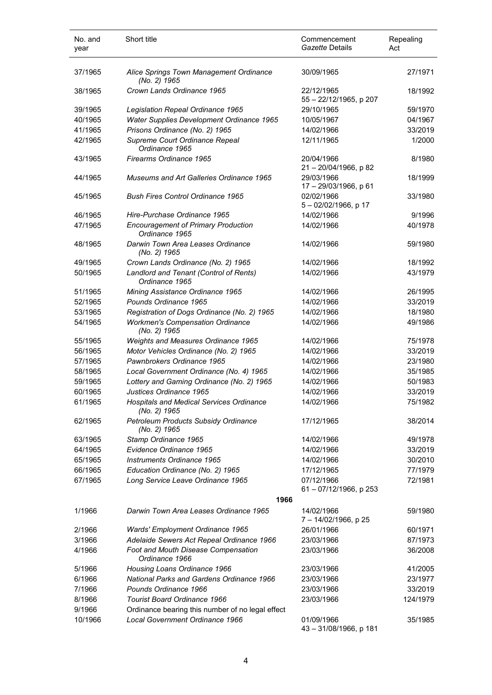| No. and<br>year | Short title                                                     | Commencement<br>Gazette Details      | Repealing<br>Act |
|-----------------|-----------------------------------------------------------------|--------------------------------------|------------------|
| 37/1965         | Alice Springs Town Management Ordinance<br>(No. 2) 1965         | 30/09/1965                           | 27/1971          |
| 38/1965         | Crown Lands Ordinance 1965                                      | 22/12/1965<br>55 - 22/12/1965, p 207 | 18/1992          |
| 39/1965         | Legislation Repeal Ordinance 1965                               | 29/10/1965                           | 59/1970          |
| 40/1965         | Water Supplies Development Ordinance 1965                       | 10/05/1967                           | 04/1967          |
| 41/1965         | Prisons Ordinance (No. 2) 1965                                  | 14/02/1966                           | 33/2019          |
| 42/1965         | Supreme Court Ordinance Repeal<br>Ordinance 1965                | 12/11/1965                           | 1/2000           |
| 43/1965         | Firearms Ordinance 1965                                         | 20/04/1966<br>21 - 20/04/1966, p 82  | 8/1980           |
| 44/1965         | Museums and Art Galleries Ordinance 1965                        | 29/03/1966<br>17 - 29/03/1966, p 61  | 18/1999          |
| 45/1965         | <b>Bush Fires Control Ordinance 1965</b>                        | 02/02/1966<br>5-02/02/1966, p 17     | 33/1980          |
| 46/1965         | Hire-Purchase Ordinance 1965                                    | 14/02/1966                           | 9/1996           |
| 47/1965         | <b>Encouragement of Primary Production</b><br>Ordinance 1965    | 14/02/1966                           | 40/1978          |
| 48/1965         | Darwin Town Area Leases Ordinance<br>(No. 2) 1965               | 14/02/1966                           | 59/1980          |
| 49/1965         | Crown Lands Ordinance (No. 2) 1965                              | 14/02/1966                           | 18/1992          |
| 50/1965         | Landlord and Tenant (Control of Rents)<br>Ordinance 1965        | 14/02/1966                           | 43/1979          |
| 51/1965         | Mining Assistance Ordinance 1965                                | 14/02/1966                           | 26/1995          |
| 52/1965         | Pounds Ordinance 1965                                           | 14/02/1966                           | 33/2019          |
| 53/1965         | Registration of Dogs Ordinance (No. 2) 1965                     | 14/02/1966                           | 18/1980          |
| 54/1965         | <b>Workmen's Compensation Ordinance</b><br>(No. 2) 1965         | 14/02/1966                           | 49/1986          |
| 55/1965         | Weights and Measures Ordinance 1965                             | 14/02/1966                           | 75/1978          |
| 56/1965         | Motor Vehicles Ordinance (No. 2) 1965                           | 14/02/1966                           | 33/2019          |
| 57/1965         | Pawnbrokers Ordinance 1965                                      | 14/02/1966                           | 23/1980          |
| 58/1965         | Local Government Ordinance (No. 4) 1965                         | 14/02/1966                           | 35/1985          |
| 59/1965         | Lottery and Gaming Ordinance (No. 2) 1965                       | 14/02/1966                           | 50/1983          |
| 60/1965         | Justices Ordinance 1965                                         | 14/02/1966                           | 33/2019          |
| 61/1965         | <b>Hospitals and Medical Services Ordinance</b><br>(No. 2) 1965 | 14/02/1966                           | 75/1982          |
| 62/1965         | Petroleum Products Subsidy Ordinance<br>(No. 2) 1965            | 17/12/1965                           | 38/2014          |
| 63/1965         | Stamp Ordinance 1965                                            | 14/02/1966                           | 49/1978          |
| 64/1965         | Evidence Ordinance 1965                                         | 14/02/1966                           | 33/2019          |
| 65/1965         | Instruments Ordinance 1965                                      | 14/02/1966                           | 30/2010          |
| 66/1965         | Education Ordinance (No. 2) 1965                                | 17/12/1965                           | 77/1979          |
| 67/1965         | Long Service Leave Ordinance 1965                               | 07/12/1966<br>61 - 07/12/1966, p 253 | 72/1981          |
|                 | 1966                                                            |                                      |                  |
| 1/1966          | Darwin Town Area Leases Ordinance 1965                          | 14/02/1966<br>7 - 14/02/1966, p 25   | 59/1980          |
| 2/1966          | Wards' Employment Ordinance 1965                                | 26/01/1966                           | 60/1971          |
| 3/1966          | Adelaide Sewers Act Repeal Ordinance 1966                       | 23/03/1966                           | 87/1973          |
| 4/1966          | Foot and Mouth Disease Compensation<br>Ordinance 1966           | 23/03/1966                           | 36/2008          |
| 5/1966          | Housing Loans Ordinance 1966                                    | 23/03/1966                           | 41/2005          |
| 6/1966          | <b>National Parks and Gardens Ordinance 1966</b>                | 23/03/1966                           | 23/1977          |
| 7/1966          | Pounds Ordinance 1966                                           | 23/03/1966                           | 33/2019          |
| 8/1966          | <b>Tourist Board Ordinance 1966</b>                             | 23/03/1966                           | 124/1979         |
| 9/1966          | Ordinance bearing this number of no legal effect                |                                      |                  |
| 10/1966         | Local Government Ordinance 1966                                 | 01/09/1966                           | 35/1985          |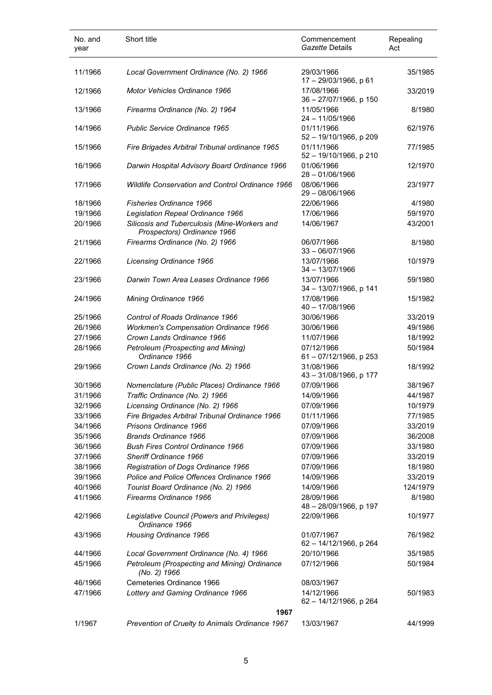| No. and<br>year | Short title                                                   | Commencement<br>Gazette Details      | Repealing<br>Act |
|-----------------|---------------------------------------------------------------|--------------------------------------|------------------|
| 11/1966         | Local Government Ordinance (No. 2) 1966                       | 29/03/1966<br>17 - 29/03/1966, p 61  | 35/1985          |
| 12/1966         | <b>Motor Vehicles Ordinance 1966</b>                          | 17/08/1966<br>36 - 27/07/1966, p 150 | 33/2019          |
| 13/1966         | Firearms Ordinance (No. 2) 1964                               | 11/05/1966<br>24 - 11/05/1966        | 8/1980           |
| 14/1966         | <b>Public Service Ordinance 1965</b>                          | 01/11/1966<br>52 - 19/10/1966, p 209 | 62/1976          |
| 15/1966         | Fire Brigades Arbitral Tribunal ordinance 1965                | 01/11/1966<br>52 - 19/10/1966, p 210 | 77/1985          |
| 16/1966         | Darwin Hospital Advisory Board Ordinance 1966                 | 01/06/1966<br>$28 - 01/06/1966$      | 12/1970          |
| 17/1966         | <b>Wildlife Conservation and Control Ordinance 1966</b>       | 08/06/1966<br>$29 - 08/06/1966$      | 23/1977          |
| 18/1966         | <b>Fisheries Ordinance 1966</b>                               | 22/06/1966                           | 4/1980           |
| 19/1966         | Legislation Repeal Ordinance 1966                             | 17/06/1966                           | 59/1970          |
| 20/1966         | Silicosis and Tuberculosis (Mine-Workers and                  | 14/06/1967                           | 43/2001          |
|                 | Prospectors) Ordinance 1966                                   |                                      |                  |
| 21/1966         | Firearms Ordinance (No. 2) 1966                               | 06/07/1966<br>$33 - 06/07/1966$      | 8/1980           |
| 22/1966         | Licensing Ordinance 1966                                      | 13/07/1966<br>$34 - 13/07/1966$      | 10/1979          |
| 23/1966         | Darwin Town Area Leases Ordinance 1966                        | 13/07/1966<br>34 - 13/07/1966, p 141 | 59/1980          |
| 24/1966         | Mining Ordinance 1966                                         | 17/08/1966<br>40 - 17/08/1966        | 15/1982          |
| 25/1966         | Control of Roads Ordinance 1966                               | 30/06/1966                           | 33/2019          |
| 26/1966         | <b>Workmen's Compensation Ordinance 1966</b>                  | 30/06/1966                           | 49/1986          |
| 27/1966         | Crown Lands Ordinance 1966                                    | 11/07/1966                           | 18/1992          |
| 28/1966         | Petroleum (Prospecting and Mining)<br>Ordinance 1966          | 07/12/1966<br>61-07/12/1966, p 253   | 50/1984          |
| 29/1966         | Crown Lands Ordinance (No. 2) 1966                            | 31/08/1966<br>43-31/08/1966, p 177   | 18/1992          |
| 30/1966         | Nomenclature (Public Places) Ordinance 1966                   | 07/09/1966                           | 38/1967          |
| 31/1966         | Traffic Ordinance (No. 2) 1966                                | 14/09/1966                           | 44/1987          |
| 32/1966         | Licensing Ordinance (No. 2) 1966                              | 07/09/1966                           | 10/1979          |
| 33/1966         | Fire Brigades Arbitral Tribunal Ordinance 1966                | 01/11/1966                           | 77/1985          |
| 34/1966         | Prisons Ordinance 1966                                        | 07/09/1966                           | 33/2019          |
| 35/1966         | <b>Brands Ordinance 1966</b>                                  | 07/09/1966                           |                  |
|                 |                                                               |                                      | 36/2008          |
| 36/1966         | <b>Bush Fires Control Ordinance 1966</b>                      | 07/09/1966                           | 33/1980          |
| 37/1966         | Sheriff Ordinance 1966                                        | 07/09/1966                           | 33/2019          |
| 38/1966         | Registration of Dogs Ordinance 1966                           | 07/09/1966                           | 18/1980          |
| 39/1966         | Police and Police Offences Ordinance 1966                     | 14/09/1966                           | 33/2019          |
| 40/1966         | Tourist Board Ordinance (No. 2) 1966                          | 14/09/1966                           | 124/1979         |
| 41/1966         | Firearms Ordinance 1966                                       | 28/09/1966<br>48 - 28/09/1966, p 197 | 8/1980           |
| 42/1966         | Legislative Council (Powers and Privileges)<br>Ordinance 1966 | 22/09/1966                           | 10/1977          |
| 43/1966         | Housing Ordinance 1966                                        | 01/07/1967<br>62 - 14/12/1966, p 264 | 76/1982          |
| 44/1966         | Local Government Ordinance (No. 4) 1966                       | 20/10/1966                           | 35/1985          |
| 45/1966         | Petroleum (Prospecting and Mining) Ordinance<br>(No. 2) 1966  | 07/12/1966                           | 50/1984          |
| 46/1966         | Cemeteries Ordinance 1966                                     | 08/03/1967                           |                  |
| 47/1966         | Lottery and Gaming Ordinance 1966                             | 14/12/1966<br>62 - 14/12/1966, p 264 | 50/1983          |
|                 | 1967                                                          |                                      |                  |
| 1/1967          | Prevention of Cruelty to Animals Ordinance 1967               | 13/03/1967                           | 44/1999          |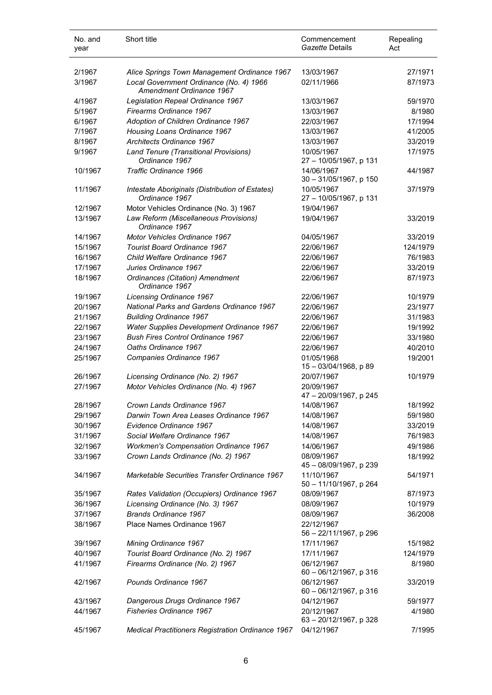| No. and<br>year | Short title                                                         | Commencement<br>Gazette Details         | Repealing<br>Act |
|-----------------|---------------------------------------------------------------------|-----------------------------------------|------------------|
| 2/1967          | Alice Springs Town Management Ordinance 1967                        | 13/03/1967                              | 27/1971          |
| 3/1967          | Local Government Ordinance (No. 4) 1966<br>Amendment Ordinance 1967 | 02/11/1966                              | 87/1973          |
| 4/1967          | Legislation Repeal Ordinance 1967                                   | 13/03/1967                              | 59/1970          |
| 5/1967          | Firearms Ordinance 1967                                             | 13/03/1967                              | 8/1980           |
| 6/1967          | Adoption of Children Ordinance 1967                                 | 22/03/1967                              | 17/1994          |
| 7/1967          | Housing Loans Ordinance 1967                                        | 13/03/1967                              | 41/2005          |
| 8/1967          | Architects Ordinance 1967                                           | 13/03/1967                              | 33/2019          |
| 9/1967          | Land Tenure (Transitional Provisions)<br>Ordinance 1967             | 10/05/1967<br>27 - 10/05/1967, p 131    | 17/1975          |
| 10/1967         | Traffic Ordinance 1966                                              | 14/06/1967<br>30 - 31/05/1967, p 150    | 44/1987          |
| 11/1967         | Intestate Aboriginals (Distribution of Estates)<br>Ordinance 1967   | 10/05/1967<br>27 - 10/05/1967, p 131    | 37/1979          |
| 12/1967         | Motor Vehicles Ordinance (No. 3) 1967                               | 19/04/1967                              |                  |
| 13/1967         | Law Reform (Miscellaneous Provisions)<br>Ordinance 1967             | 19/04/1967                              | 33/2019          |
| 14/1967         | <b>Motor Vehicles Ordinance 1967</b>                                | 04/05/1967                              | 33/2019          |
| 15/1967         | <b>Tourist Board Ordinance 1967</b>                                 | 22/06/1967                              | 124/1979         |
| 16/1967         | Child Welfare Ordinance 1967                                        | 22/06/1967                              | 76/1983          |
| 17/1967         | Juries Ordinance 1967                                               | 22/06/1967                              | 33/2019          |
| 18/1967         | Ordinances (Citation) Amendment<br>Ordinance 1967                   | 22/06/1967                              | 87/1973          |
| 19/1967         | <b>Licensing Ordinance 1967</b>                                     | 22/06/1967                              | 10/1979          |
| 20/1967         | <b>National Parks and Gardens Ordinance 1967</b>                    | 22/06/1967                              | 23/1977          |
| 21/1967         | <b>Building Ordinance 1967</b>                                      | 22/06/1967                              | 31/1983          |
| 22/1967         | Water Supplies Development Ordinance 1967                           | 22/06/1967                              | 19/1992          |
| 23/1967         | <b>Bush Fires Control Ordinance 1967</b>                            | 22/06/1967                              | 33/1980          |
| 24/1967         | Oaths Ordinance 1967                                                | 22/06/1967                              | 40/2010          |
| 25/1967         | Companies Ordinance 1967                                            | 01/05/1968<br>15 - 03/04/1968, p 89     | 19/2001          |
| 26/1967         | Licensing Ordinance (No. 2) 1967                                    | 20/07/1967                              | 10/1979          |
| 27/1967         | Motor Vehicles Ordinance (No. 4) 1967                               | 20/09/1967<br>47 - 20/09/1967, p 245    |                  |
| 28/1967         | Crown Lands Ordinance 1967                                          | 14/08/1967                              | 18/1992          |
| 29/1967         | Darwin Town Area Leases Ordinance 1967                              | 14/08/1967                              | 59/1980          |
| 30/1967         | Evidence Ordinance 1967                                             | 14/08/1967                              | 33/2019          |
| 31/1967         | Social Welfare Ordinance 1967                                       | 14/08/1967                              | 76/1983          |
| 32/1967         | <b>Workmen's Compensation Ordinance 1967</b>                        | 14/06/1967                              | 49/1986          |
| 33/1967         | Crown Lands Ordinance (No. 2) 1967                                  | 08/09/1967<br>45 - 08/09/1967, p 239    | 18/1992          |
| 34/1967         | Marketable Securities Transfer Ordinance 1967                       | 11/10/1967<br>50 - 11/10/1967, p 264    | 54/1971          |
| 35/1967         | Rates Validation (Occupiers) Ordinance 1967                         | 08/09/1967                              | 87/1973          |
| 36/1967         | Licensing Ordinance (No. 3) 1967                                    | 08/09/1967                              | 10/1979          |
| 37/1967         | <b>Brands Ordinance 1967</b>                                        | 08/09/1967                              | 36/2008          |
| 38/1967         | Place Names Ordinance 1967                                          | 22/12/1967<br>56 - 22/11/1967, p 296    |                  |
| 39/1967         | Mining Ordinance 1967                                               | 17/11/1967                              | 15/1982          |
| 40/1967         | Tourist Board Ordinance (No. 2) 1967                                | 17/11/1967                              | 124/1979         |
| 41/1967         | Firearms Ordinance (No. 2) 1967                                     | 06/12/1967<br>60 - 06/12/1967, p 316    | 8/1980           |
| 42/1967         | Pounds Ordinance 1967                                               | 06/12/1967<br>60 - 06/12/1967, p 316    | 33/2019          |
| 43/1967         | Dangerous Drugs Ordinance 1967                                      | 04/12/1967                              | 59/1977          |
| 44/1967         | <b>Fisheries Ordinance 1967</b>                                     | 20/12/1967<br>$63 - 20/12/1967$ , p 328 | 4/1980           |
| 45/1967         | Medical Practitioners Registration Ordinance 1967                   | 04/12/1967                              | 7/1995           |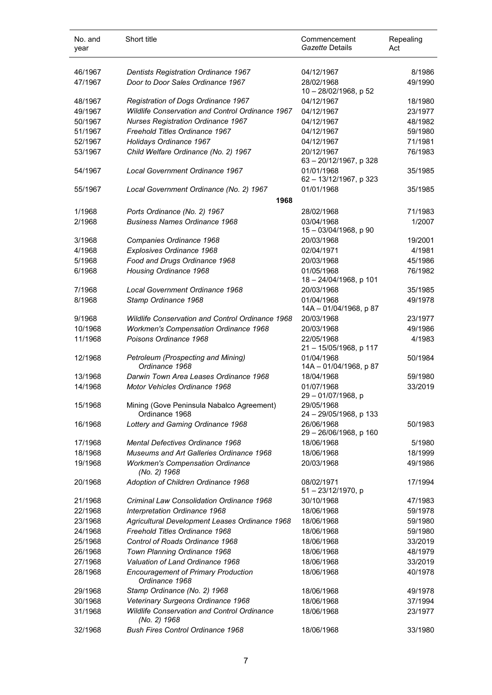| No. and<br>year    | Short title                                                                              | Commencement<br>Gazette Details         | Repealing<br>Act   |
|--------------------|------------------------------------------------------------------------------------------|-----------------------------------------|--------------------|
| 46/1967            | <b>Dentists Registration Ordinance 1967</b>                                              | 04/12/1967                              | 8/1986             |
| 47/1967            | Door to Door Sales Ordinance 1967                                                        | 28/02/1968<br>10 - 28/02/1968, p 52     | 49/1990            |
| 48/1967            | Registration of Dogs Ordinance 1967                                                      | 04/12/1967                              | 18/1980            |
| 49/1967            | Wildlife Conservation and Control Ordinance 1967                                         | 04/12/1967                              | 23/1977            |
| 50/1967            | <b>Nurses Registration Ordinance 1967</b>                                                | 04/12/1967                              | 48/1982            |
| 51/1967            | Freehold Titles Ordinance 1967                                                           | 04/12/1967                              | 59/1980            |
| 52/1967            | Holidays Ordinance 1967                                                                  | 04/12/1967                              | 71/1981            |
| 53/1967            | Child Welfare Ordinance (No. 2) 1967                                                     | 20/12/1967<br>$63 - 20/12/1967$ , p 328 | 76/1983            |
| 54/1967            | Local Government Ordinance 1967                                                          | 01/01/1968<br>62 - 13/12/1967, p 323    | 35/1985            |
| 55/1967            | Local Government Ordinance (No. 2) 1967                                                  | 01/01/1968                              | 35/1985            |
|                    | 1968                                                                                     |                                         |                    |
| 1/1968             | Ports Ordinance (No. 2) 1967                                                             | 28/02/1968                              | 71/1983            |
| 2/1968             | <b>Business Names Ordinance 1968</b>                                                     | 03/04/1968<br>15 - 03/04/1968, p 90     | 1/2007             |
| 3/1968             | Companies Ordinance 1968                                                                 | 20/03/1968                              | 19/2001            |
| 4/1968             | Explosives Ordinance 1968                                                                | 02/04/1971                              | 4/1981             |
| 5/1968             | Food and Drugs Ordinance 1968                                                            | 20/03/1968                              | 45/1986            |
| 6/1968             | Housing Ordinance 1968                                                                   | 01/05/1968<br>18 - 24/04/1968, p 101    | 76/1982            |
| 7/1968             | Local Government Ordinance 1968                                                          | 20/03/1968                              | 35/1985            |
| 8/1968             | Stamp Ordinance 1968                                                                     | 01/04/1968<br>14A - 01/04/1968, p 87    | 49/1978            |
| 9/1968             | <b>Wildlife Conservation and Control Ordinance 1968</b>                                  | 20/03/1968                              | 23/1977            |
| 10/1968            | <b>Workmen's Compensation Ordinance 1968</b>                                             | 20/03/1968                              | 49/1986            |
| 11/1968            | Poisons Ordinance 1968                                                                   | 22/05/1968<br>21 - 15/05/1968, p 117    | 4/1983             |
| 12/1968            | Petroleum (Prospecting and Mining)<br>Ordinance 1968                                     | 01/04/1968<br>14A - 01/04/1968, p 87    | 50/1984            |
| 13/1968            | Darwin Town Area Leases Ordinance 1968                                                   | 18/04/1968                              | 59/1980            |
| 14/1968            | Motor Vehicles Ordinance 1968                                                            | 01/07/1968<br>29 - 01/07/1968, p        | 33/2019            |
| 15/1968            | Mining (Gove Peninsula Nabalco Agreement)<br>Ordinance 1968                              | 29/05/1968<br>24 - 29/05/1968, p 133    |                    |
| 16/1968            | Lottery and Gaming Ordinance 1968                                                        | 26/06/1968<br>29 - 26/06/1968, p 160    | 50/1983            |
| 17/1968            | <b>Mental Defectives Ordinance 1968</b>                                                  | 18/06/1968                              | 5/1980             |
| 18/1968            | Museums and Art Galleries Ordinance 1968                                                 | 18/06/1968                              | 18/1999            |
| 19/1968            | <b>Workmen's Compensation Ordinance</b><br>(No. 2) 1968                                  | 20/03/1968                              | 49/1986            |
| 20/1968            | Adoption of Children Ordinance 1968                                                      | 08/02/1971<br>51 - 23/12/1970, p        | 17/1994            |
| 21/1968            | <b>Criminal Law Consolidation Ordinance 1968</b>                                         | 30/10/1968                              | 47/1983            |
| 22/1968            | Interpretation Ordinance 1968                                                            | 18/06/1968                              | 59/1978            |
| 23/1968            | Agricultural Development Leases Ordinance 1968                                           | 18/06/1968                              | 59/1980            |
| 24/1968            | Freehold Titles Ordinance 1968                                                           | 18/06/1968                              | 59/1980            |
| 25/1968            | Control of Roads Ordinance 1968                                                          | 18/06/1968                              | 33/2019            |
| 26/1968            | Town Planning Ordinance 1968                                                             | 18/06/1968                              | 48/1979            |
| 27/1968            | Valuation of Land Ordinance 1968                                                         | 18/06/1968                              | 33/2019            |
| 28/1968            | <b>Encouragement of Primary Production</b><br>Ordinance 1968                             | 18/06/1968                              | 40/1978            |
| 29/1968            | Stamp Ordinance (No. 2) 1968                                                             | 18/06/1968                              | 49/1978            |
| 30/1968<br>31/1968 | Veterinary Surgeons Ordinance 1968<br><b>Wildlife Conservation and Control Ordinance</b> | 18/06/1968<br>18/06/1968                | 37/1994<br>23/1977 |
|                    | (No. 2) 1968                                                                             |                                         |                    |
| 32/1968            | <b>Bush Fires Control Ordinance 1968</b>                                                 | 18/06/1968                              | 33/1980            |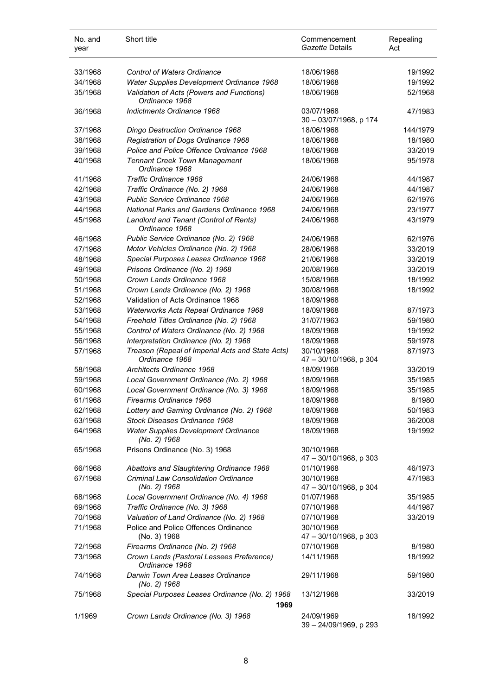| No. and<br>year | Short title                                                        | Commencement<br>Gazette Details      | Repealing<br>Act |
|-----------------|--------------------------------------------------------------------|--------------------------------------|------------------|
| 33/1968         | <b>Control of Waters Ordinance</b>                                 | 18/06/1968                           | 19/1992          |
| 34/1968         | <b>Water Supplies Development Ordinance 1968</b>                   | 18/06/1968                           | 19/1992          |
| 35/1968         | Validation of Acts (Powers and Functions)<br>Ordinance 1968        | 18/06/1968                           | 52/1968          |
| 36/1968         | Indictments Ordinance 1968                                         | 03/07/1968<br>30 - 03/07/1968, p 174 | 47/1983          |
| 37/1968         | Dingo Destruction Ordinance 1968                                   | 18/06/1968                           | 144/1979         |
| 38/1968         | Registration of Dogs Ordinance 1968                                | 18/06/1968                           | 18/1980          |
| 39/1968         | Police and Police Offence Ordinance 1968                           | 18/06/1968                           | 33/2019          |
| 40/1968         | <b>Tennant Creek Town Management</b><br>Ordinance 1968             | 18/06/1968                           | 95/1978          |
| 41/1968         | Traffic Ordinance 1968                                             | 24/06/1968                           | 44/1987          |
| 42/1968         | Traffic Ordinance (No. 2) 1968                                     | 24/06/1968                           | 44/1987          |
| 43/1968         | Public Service Ordinance 1968                                      | 24/06/1968                           | 62/1976          |
| 44/1968         | National Parks and Gardens Ordinance 1968                          | 24/06/1968                           | 23/1977          |
| 45/1968         | Landlord and Tenant (Control of Rents)<br>Ordinance 1968           | 24/06/1968                           | 43/1979          |
| 46/1968         | Public Service Ordinance (No. 2) 1968                              | 24/06/1968                           | 62/1976          |
| 47/1968         | Motor Vehicles Ordinance (No. 2) 1968                              | 28/06/1968                           | 33/2019          |
| 48/1968         | Special Purposes Leases Ordinance 1968                             | 21/06/1968                           | 33/2019          |
| 49/1968         | Prisons Ordinance (No. 2) 1968                                     | 20/08/1968                           | 33/2019          |
| 50/1968         | Crown Lands Ordinance 1968                                         | 15/08/1968                           | 18/1992          |
| 51/1968         | Crown Lands Ordinance (No. 2) 1968                                 | 30/08/1968                           | 18/1992          |
| 52/1968         | Validation of Acts Ordinance 1968                                  | 18/09/1968                           |                  |
| 53/1968         | Waterworks Acts Repeal Ordinance 1968                              | 18/09/1968                           | 87/1973          |
| 54/1968         | Freehold Titles Ordinance (No. 2) 1968                             | 31/07/1963                           | 59/1980          |
| 55/1968         | Control of Waters Ordinance (No. 2) 1968                           | 18/09/1968                           | 19/1992          |
| 56/1968         | Interpretation Ordinance (No. 2) 1968                              | 18/09/1968                           | 59/1978          |
| 57/1968         | Treason (Repeal of Imperial Acts and State Acts)<br>Ordinance 1968 | 30/10/1968<br>47 - 30/10/1968, p 304 | 87/1973          |
| 58/1968         | Architects Ordinance 1968                                          | 18/09/1968                           | 33/2019          |
| 59/1968         | Local Government Ordinance (No. 2) 1968                            | 18/09/1968                           | 35/1985          |
| 60/1968         | Local Government Ordinance (No. 3) 1968                            | 18/09/1968                           | 35/1985          |
| 61/1968         | Firearms Ordinance 1968                                            | 18/09/1968                           | 8/1980           |
| 62/1968         | Lottery and Gaming Ordinance (No. 2) 1968                          | 18/09/1968                           | 50/1983          |
| 63/1968         | Stock Diseases Ordinance 1968                                      | 18/09/1968                           | 36/2008          |
| 64/1968         | Water Supplies Development Ordinance<br>(No. 2) 1968               | 18/09/1968                           | 19/1992          |
| 65/1968         | Prisons Ordinance (No. 3) 1968                                     | 30/10/1968<br>47 - 30/10/1968, p 303 |                  |
| 66/1968         | Abattoirs and Slaughtering Ordinance 1968                          | 01/10/1968                           | 46/1973          |
| 67/1968         | <b>Criminal Law Consolidation Ordinance</b><br>(No. 2) 1968        | 30/10/1968<br>47 - 30/10/1968, p 304 | 47/1983          |
| 68/1968         | Local Government Ordinance (No. 4) 1968                            | 01/07/1968                           | 35/1985          |
| 69/1968         | Traffic Ordinance (No. 3) 1968                                     | 07/10/1968                           | 44/1987          |
| 70/1968         | Valuation of Land Ordinance (No. 2) 1968                           | 07/10/1968                           | 33/2019          |
| 71/1968         | Police and Police Offences Ordinance<br>(No. 3) 1968               | 30/10/1968<br>47 - 30/10/1968, p 303 |                  |
| 72/1968         | Firearms Ordinance (No. 2) 1968                                    | 07/10/1968                           | 8/1980           |
| 73/1968         | Crown Lands (Pastoral Lessees Preference)<br>Ordinance 1968        | 14/11/1968                           | 18/1992          |
| 74/1968         | Darwin Town Area Leases Ordinance<br>(No. 2) 1968                  | 29/11/1968                           | 59/1980          |
| 75/1968         | Special Purposes Leases Ordinance (No. 2) 1968<br>1969             | 13/12/1968                           | 33/2019          |
| 1/1969          | Crown Lands Ordinance (No. 3) 1968                                 | 24/09/1969<br>39 - 24/09/1969, p 293 | 18/1992          |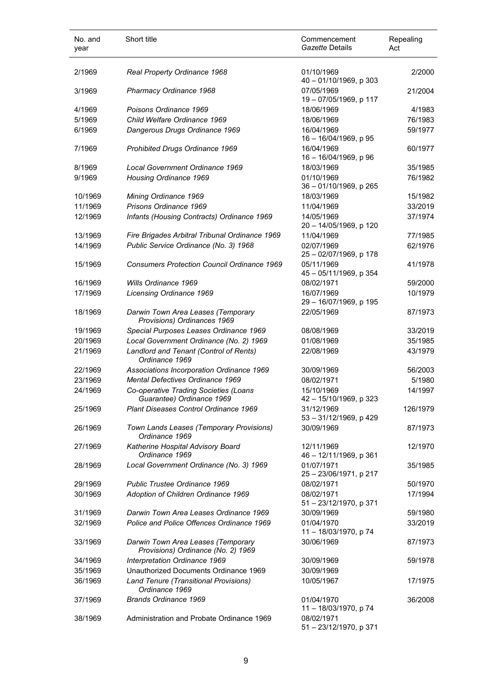| No. and<br>year | Short title                                                              | Commencement<br>Gazette Details      | Repealing<br>Act |
|-----------------|--------------------------------------------------------------------------|--------------------------------------|------------------|
| 2/1969          | Real Property Ordinance 1968                                             | 01/10/1969<br>40 - 01/10/1969, p 303 | 2/2000           |
| 3/1969          | Pharmacy Ordinance 1968                                                  | 07/05/1969<br>19 - 07/05/1969, p 117 | 21/2004          |
| 4/1969          | Poisons Ordinance 1969                                                   | 18/06/1969                           | 4/1983           |
| 5/1969          | Child Welfare Ordinance 1969                                             | 18/06/1969                           | 76/1983          |
| 6/1969          | Dangerous Drugs Ordinance 1969                                           | 16/04/1969<br>16 - 16/04/1969, p 95  | 59/1977          |
| 7/1969          | Prohibited Drugs Ordinance 1969                                          | 16/04/1969<br>16 - 16/04/1969, p 96  | 60/1977          |
| 8/1969          | Local Government Ordinance 1969                                          | 18/03/1969                           | 35/1985          |
| 9/1969          | <b>Housing Ordinance 1969</b>                                            | 01/10/1969<br>36 - 01/10/1969, p 265 | 76/1982          |
| 10/1969         | Mining Ordinance 1969                                                    | 18/03/1969                           | 15/1982          |
| 11/1969         | Prisons Ordinance 1969                                                   | 11/04/1969                           | 33/2019          |
| 12/1969         | Infants (Housing Contracts) Ordinance 1969                               | 14/05/1969<br>20 - 14/05/1969, p 120 | 37/1974          |
| 13/1969         | Fire Brigades Arbitral Tribunal Ordinance 1969                           | 11/04/1969                           | 77/1985          |
| 14/1969         | Public Service Ordinance (No. 3) 1968                                    | 02/07/1969<br>25 - 02/07/1969, p 178 | 62/1976          |
| 15/1969         | <b>Consumers Protection Council Ordinance 1969</b>                       | 05/11/1969<br>45 - 05/11/1969, p 354 | 41/1978          |
| 16/1969         | Wills Ordinance 1969                                                     | 08/02/1971                           | 59/2000          |
| 17/1969         | Licensing Ordinance 1969                                                 | 16/07/1969<br>29 - 16/07/1969, p 195 | 10/1979          |
| 18/1969         | Darwin Town Area Leases (Temporary<br>Provisions) Ordinances 1969        | 22/05/1969                           | 87/1973          |
| 19/1969         | Special Purposes Leases Ordinance 1969                                   | 08/08/1969                           | 33/2019          |
| 20/1969         | Local Government Ordinance (No. 2) 1969                                  | 01/08/1969                           | 35/1985          |
| 21/1969         | Landlord and Tenant (Control of Rents)<br>Ordinance 1969                 | 22/08/1969                           | 43/1979          |
| 22/1969         | Associations Incorporation Ordinance 1969                                | 30/09/1969                           | 56/2003          |
| 23/1969         | Mental Defectives Ordinance 1969                                         | 08/02/1971                           | 5/1980           |
| 24/1969         | Co-operative Trading Societies (Loans<br>Guarantee) Ordinance 1969       | 15/10/1969<br>42 - 15/10/1969, p 323 | 14/1997          |
| 25/1969         | Plant Diseases Control Ordinance 1969                                    | 31/12/1969<br>53 - 31/12/1969, p 429 | 126/1979         |
| 26/1969         | Town Lands Leases (Temporary Provisions)<br>Ordinance 1969               | 30/09/1969                           | 87/1973          |
| 27/1969         | Katherine Hospital Advisory Board<br>Ordinance 1969                      | 12/11/1969<br>46 - 12/11/1969, p 361 | 12/1970          |
| 28/1969         | Local Government Ordinance (No. 3) 1969                                  | 01/07/1971<br>25 - 23/06/1971, p 217 | 35/1985          |
| 29/1969         | Public Trustee Ordinance 1969                                            | 08/02/1971                           | 50/1970          |
| 30/1969         | Adoption of Children Ordinance 1969                                      | 08/02/1971<br>51 - 23/12/1970, p 371 | 17/1994          |
| 31/1969         | Darwin Town Area Leases Ordinance 1969                                   | 30/09/1969                           | 59/1980          |
| 32/1969         | Police and Police Offences Ordinance 1969                                | 01/04/1970<br>11 - 18/03/1970, p 74  | 33/2019          |
| 33/1969         | Darwin Town Area Leases (Temporary<br>Provisions) Ordinance (No. 2) 1969 | 30/06/1969                           | 87/1973          |
| 34/1969         | Interpretation Ordinance 1969                                            | 30/09/1969                           | 59/1978          |
| 35/1969         | Unauthorized Documents Ordinance 1969                                    | 30/09/1969                           |                  |
| 36/1969         | Land Tenure (Transitional Provisions)<br>Ordinance 1969                  | 10/05/1967                           | 17/1975          |
| 37/1969         | <b>Brands Ordinance 1969</b>                                             | 01/04/1970<br>11 - 18/03/1970, p 74  | 36/2008          |
| 38/1969         | Administration and Probate Ordinance 1969                                | 08/02/1971<br>51-23/12/1970, p 371   |                  |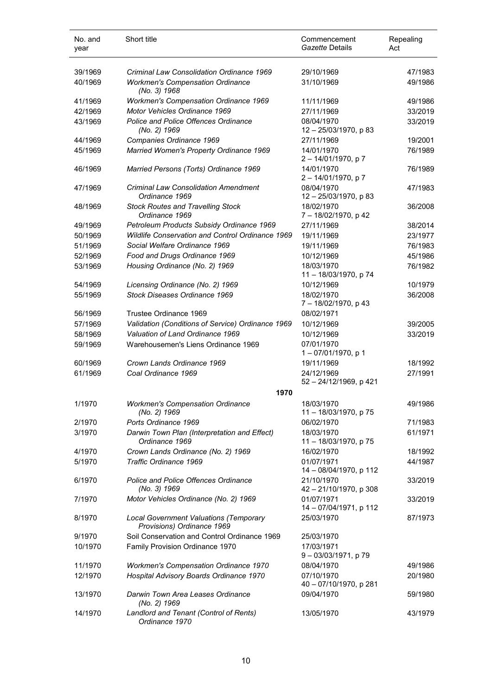| No. and<br>year  | Short title                                                                 | Commencement<br>Gazette Details                    | Repealing<br>Act   |
|------------------|-----------------------------------------------------------------------------|----------------------------------------------------|--------------------|
| 39/1969          | <b>Criminal Law Consolidation Ordinance 1969</b>                            | 29/10/1969                                         | 47/1983            |
| 40/1969          | <b>Workmen's Compensation Ordinance</b><br>(No. 3) 1968                     | 31/10/1969                                         | 49/1986            |
| 41/1969          | <b>Workmen's Compensation Ordinance 1969</b>                                | 11/11/1969                                         | 49/1986            |
| 42/1969          | Motor Vehicles Ordinance 1969                                               | 27/11/1969                                         | 33/2019            |
| 43/1969          | <b>Police and Police Offences Ordinance</b><br>(No. 2) 1969                 | 08/04/1970<br>12 - 25/03/1970, p 83                | 33/2019            |
| 44/1969          | Companies Ordinance 1969                                                    | 27/11/1969                                         | 19/2001            |
| 45/1969          | Married Women's Property Ordinance 1969                                     | 14/01/1970<br>$2 - 14/01/1970$ , p 7               | 76/1989            |
| 46/1969          | Married Persons (Torts) Ordinance 1969                                      | 14/01/1970<br>$2 - 14/01/1970$ , p 7               | 76/1989            |
| 47/1969          | <b>Criminal Law Consolidation Amendment</b><br>Ordinance 1969               | 08/04/1970<br>12 - 25/03/1970, p 83                | 47/1983            |
| 48/1969          | <b>Stock Routes and Travelling Stock</b><br>Ordinance 1969                  | 18/02/1970<br>7 - 18/02/1970, p 42                 | 36/2008            |
| 49/1969          | Petroleum Products Subsidy Ordinance 1969                                   | 27/11/1969                                         | 38/2014            |
| 50/1969          | Wildlife Conservation and Control Ordinance 1969                            | 19/11/1969                                         | 23/1977            |
| 51/1969          | Social Welfare Ordinance 1969                                               | 19/11/1969                                         | 76/1983            |
| 52/1969          | Food and Drugs Ordinance 1969                                               | 10/12/1969                                         | 45/1986            |
| 53/1969          | Housing Ordinance (No. 2) 1969                                              | 18/03/1970<br>11 - 18/03/1970, p 74                | 76/1982            |
| 54/1969          | Licensing Ordinance (No. 2) 1969                                            | 10/12/1969                                         | 10/1979            |
| 55/1969          | Stock Diseases Ordinance 1969                                               | 18/02/1970<br>7 - 18/02/1970, p 43                 | 36/2008            |
| 56/1969          | Trustee Ordinance 1969                                                      | 08/02/1971                                         |                    |
| 57/1969          | Validation (Conditions of Service) Ordinance 1969                           | 10/12/1969                                         | 39/2005            |
| 58/1969          | Valuation of Land Ordinance 1969                                            | 10/12/1969                                         | 33/2019            |
| 59/1969          | Warehousemen's Liens Ordinance 1969                                         | 07/01/1970<br>1-07/01/1970, p 1                    |                    |
| 60/1969          | Crown Lands Ordinance 1969                                                  | 19/11/1969                                         | 18/1992            |
| 61/1969          | Coal Ordinance 1969                                                         | 24/12/1969<br>52 - 24/12/1969, p 421               | 27/1991            |
|                  | 1970                                                                        |                                                    |                    |
| 1/1970           | <b>Workmen's Compensation Ordinance</b><br>(No. 2) 1969                     | 18/03/1970<br>11 - 18/03/1970, p 75                | 49/1986            |
| 2/1970           | Ports Ordinance 1969                                                        | 06/02/1970                                         | 71/1983            |
| 3/1970           | Darwin Town Plan (Interpretation and Effect)<br>Ordinance 1969              | 18/03/1970<br>11 - 18/03/1970, p 75                | 61/1971            |
| 4/1970           | Crown Lands Ordinance (No. 2) 1969                                          | 16/02/1970                                         | 18/1992            |
| 5/1970<br>6/1970 | Traffic Ordinance 1969<br><b>Police and Police Offences Ordinance</b>       | 01/07/1971<br>14 - 08/04/1970, p 112<br>21/10/1970 | 44/1987<br>33/2019 |
|                  | (No. 3) 1969                                                                | 42 - 21/10/1970, p 308                             |                    |
| 7/1970           | Motor Vehicles Ordinance (No. 2) 1969                                       | 01/07/1971<br>14 - 07/04/1971, p 112               | 33/2019            |
| 8/1970           | <b>Local Government Valuations (Temporary</b><br>Provisions) Ordinance 1969 | 25/03/1970                                         | 87/1973            |
| 9/1970           | Soil Conservation and Control Ordinance 1969                                | 25/03/1970                                         |                    |
| 10/1970          | <b>Family Provision Ordinance 1970</b>                                      | 17/03/1971<br>9-03/03/1971, p 79                   |                    |
| 11/1970          | <b>Workmen's Compensation Ordinance 1970</b>                                | 08/04/1970                                         | 49/1986            |
| 12/1970          | Hospital Advisory Boards Ordinance 1970                                     | 07/10/1970<br>40 - 07/10/1970, p 281               | 20/1980            |
| 13/1970          | Darwin Town Area Leases Ordinance<br>(No. 2) 1969                           | 09/04/1970                                         | 59/1980            |
| 14/1970          | Landlord and Tenant (Control of Rents)<br>Ordinance 1970                    | 13/05/1970                                         | 43/1979            |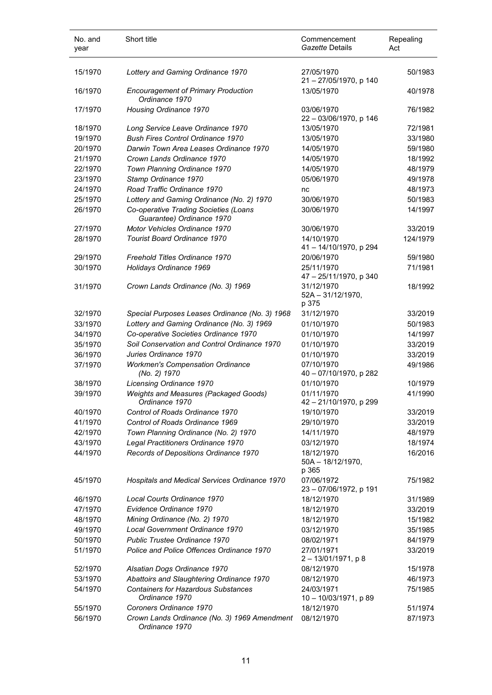| No. and<br>year | Short title                                                        | Commencement<br>Gazette Details             | Repealing<br>Act |
|-----------------|--------------------------------------------------------------------|---------------------------------------------|------------------|
| 15/1970         | Lottery and Gaming Ordinance 1970                                  | 27/05/1970<br>21 - 27/05/1970, p 140        | 50/1983          |
| 16/1970         | <b>Encouragement of Primary Production</b><br>Ordinance 1970       | 13/05/1970                                  | 40/1978          |
| 17/1970         | Housing Ordinance 1970                                             | 03/06/1970<br>22 - 03/06/1970, p 146        | 76/1982          |
| 18/1970         | Long Service Leave Ordinance 1970                                  | 13/05/1970                                  | 72/1981          |
| 19/1970         | <b>Bush Fires Control Ordinance 1970</b>                           | 13/05/1970                                  | 33/1980          |
| 20/1970         | Darwin Town Area Leases Ordinance 1970                             | 14/05/1970                                  | 59/1980          |
| 21/1970         | Crown Lands Ordinance 1970                                         | 14/05/1970                                  | 18/1992          |
| 22/1970         | Town Planning Ordinance 1970                                       | 14/05/1970                                  | 48/1979          |
| 23/1970         | Stamp Ordinance 1970                                               | 05/06/1970                                  | 49/1978          |
| 24/1970         | Road Traffic Ordinance 1970                                        | nc                                          | 48/1973          |
| 25/1970         | Lottery and Gaming Ordinance (No. 2) 1970                          | 30/06/1970                                  | 50/1983          |
| 26/1970         | Co-operative Trading Societies (Loans<br>Guarantee) Ordinance 1970 | 30/06/1970                                  | 14/1997          |
| 27/1970         | Motor Vehicles Ordinance 1970                                      | 30/06/1970                                  | 33/2019          |
| 28/1970         | <b>Tourist Board Ordinance 1970</b>                                | 14/10/1970<br>41-14/10/1970, p 294          | 124/1979         |
| 29/1970         | Freehold Titles Ordinance 1970                                     | 20/06/1970                                  | 59/1980          |
| 30/1970         | Holidays Ordinance 1969                                            | 25/11/1970                                  | 71/1981          |
|                 |                                                                    | 47 - 25/11/1970, p 340                      |                  |
| 31/1970         | Crown Lands Ordinance (No. 3) 1969                                 | 31/12/1970<br>$52A - 31/12/1970$ ,<br>p 375 | 18/1992          |
| 32/1970         | Special Purposes Leases Ordinance (No. 3) 1968                     | 31/12/1970                                  | 33/2019          |
| 33/1970         | Lottery and Gaming Ordinance (No. 3) 1969                          | 01/10/1970                                  | 50/1983          |
| 34/1970         | Co-operative Societies Ordinance 1970                              | 01/10/1970                                  | 14/1997          |
| 35/1970         | Soil Conservation and Control Ordinance 1970                       | 01/10/1970                                  | 33/2019          |
| 36/1970         | Juries Ordinance 1970                                              | 01/10/1970                                  | 33/2019          |
| 37/1970         | <b>Workmen's Compensation Ordinance</b><br>(No. 2) 1970            | 07/10/1970<br>40 - 07/10/1970, p 282        | 49/1986          |
| 38/1970         | Licensing Ordinance 1970                                           | 01/10/1970                                  | 10/1979          |
| 39/1970         | Weights and Measures (Packaged Goods)<br>Ordinance 1970            | 01/11/1970<br>42 - 21/10/1970, p 299        | 41/1990          |
| 40/1970         | Control of Roads Ordinance 1970                                    | 19/10/1970                                  | 33/2019          |
| 41/1970         | Control of Roads Ordinance 1969                                    | 29/10/1970                                  | 33/2019          |
| 42/1970         | Town Planning Ordinance (No. 2) 1970                               | 14/11/1970                                  | 48/1979          |
| 43/1970         | Legal Practitioners Ordinance 1970                                 | 03/12/1970                                  | 18/1974          |
| 44/1970         | Records of Depositions Ordinance 1970                              | 18/12/1970<br>50A - 18/12/1970,<br>p 365    | 16/2016          |
| 45/1970         | Hospitals and Medical Services Ordinance 1970                      | 07/06/1972<br>23 - 07/06/1972, p 191        | 75/1982          |
| 46/1970         | Local Courts Ordinance 1970                                        | 18/12/1970                                  | 31/1989          |
| 47/1970         | Evidence Ordinance 1970                                            | 18/12/1970                                  | 33/2019          |
| 48/1970         | Mining Ordinance (No. 2) 1970                                      | 18/12/1970                                  | 15/1982          |
| 49/1970         | Local Government Ordinance 1970                                    | 03/12/1970                                  | 35/1985          |
| 50/1970         | Public Trustee Ordinance 1970                                      | 08/02/1971                                  | 84/1979          |
| 51/1970         | Police and Police Offences Ordinance 1970                          | 27/01/1971<br>2-13/01/1971, p8              | 33/2019          |
| 52/1970         | Alsatian Dogs Ordinance 1970                                       | 08/12/1970                                  | 15/1978          |
| 53/1970         | Abattoirs and Slaughtering Ordinance 1970                          | 08/12/1970                                  | 46/1973          |
| 54/1970         | <b>Containers for Hazardous Substances</b><br>Ordinance 1970       | 24/03/1971<br>10 - 10/03/1971, p 89         | 75/1985          |
| 55/1970         | Coroners Ordinance 1970                                            | 18/12/1970                                  | 51/1974          |
| 56/1970         | Crown Lands Ordinance (No. 3) 1969 Amendment<br>Ordinance 1970     | 08/12/1970                                  | 87/1973          |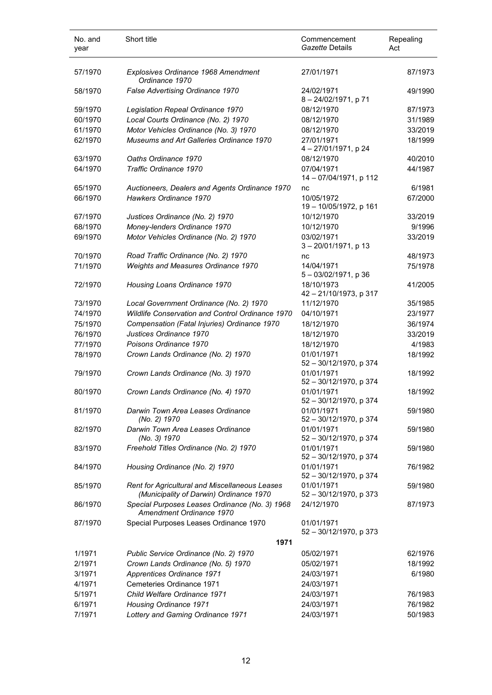| No. and<br>year | Short title                                                                               | Commencement<br>Gazette Details         | Repealing<br>Act |
|-----------------|-------------------------------------------------------------------------------------------|-----------------------------------------|------------------|
| 57/1970         | Explosives Ordinance 1968 Amendment<br>Ordinance 1970                                     | 27/01/1971                              | 87/1973          |
| 58/1970         | False Advertising Ordinance 1970                                                          | 24/02/1971<br>8-24/02/1971, p 71        | 49/1990          |
| 59/1970         | Legislation Repeal Ordinance 1970                                                         | 08/12/1970                              | 87/1973          |
| 60/1970         | Local Courts Ordinance (No. 2) 1970                                                       | 08/12/1970                              | 31/1989          |
| 61/1970         | Motor Vehicles Ordinance (No. 3) 1970                                                     | 08/12/1970                              | 33/2019          |
| 62/1970         | Museums and Art Galleries Ordinance 1970                                                  | 27/01/1971<br>4 - 27/01/1971, p 24      | 18/1999          |
| 63/1970         | Oaths Ordinance 1970                                                                      | 08/12/1970                              | 40/2010          |
| 64/1970         | Traffic Ordinance 1970                                                                    | 07/04/1971<br>14 - 07/04/1971, p 112    | 44/1987          |
| 65/1970         | Auctioneers, Dealers and Agents Ordinance 1970                                            | nc                                      | 6/1981           |
| 66/1970         | Hawkers Ordinance 1970                                                                    | 10/05/1972<br>19-10/05/1972, p 161      | 67/2000          |
| 67/1970         | Justices Ordinance (No. 2) 1970                                                           | 10/12/1970                              | 33/2019          |
| 68/1970         | Money-lenders Ordinance 1970                                                              | 10/12/1970                              | 9/1996           |
| 69/1970         | Motor Vehicles Ordinance (No. 2) 1970                                                     | 03/02/1971<br>$3 - 20/01/1971$ , p 13   | 33/2019          |
| 70/1970         | Road Traffic Ordinance (No. 2) 1970                                                       | nc                                      | 48/1973          |
| 71/1970         | Weights and Measures Ordinance 1970                                                       | 14/04/1971<br>5 - 03/02/1971, p 36      | 75/1978          |
| 72/1970         | Housing Loans Ordinance 1970                                                              | 18/10/1973<br>42 - 21/10/1973, p 317    | 41/2005          |
| 73/1970         | Local Government Ordinance (No. 2) 1970                                                   | 11/12/1970                              | 35/1985          |
| 74/1970         | Wildlife Conservation and Control Ordinance 1970                                          | 04/10/1971                              | 23/1977          |
| 75/1970         | Compensation (Fatal Injuries) Ordinance 1970                                              | 18/12/1970                              | 36/1974          |
| 76/1970         | Justices Ordinance 1970                                                                   | 18/12/1970                              | 33/2019          |
| 77/1970         | Poisons Ordinance 1970                                                                    | 18/12/1970                              | 4/1983           |
| 78/1970         | Crown Lands Ordinance (No. 2) 1970                                                        | 01/01/1971<br>52 - 30/12/1970, p 374    | 18/1992          |
| 79/1970         | Crown Lands Ordinance (No. 3) 1970                                                        | 01/01/1971<br>52 - 30/12/1970, p 374    | 18/1992          |
| 80/1970         | Crown Lands Ordinance (No. 4) 1970                                                        | 01/01/1971<br>52 - 30/12/1970, p 374    | 18/1992          |
| 81/1970         | Darwin Town Area Leases Ordinance<br>(No. 2) 1970                                         | 01/01/1971<br>52 - 30/12/1970, p 374    | 59/1980          |
| 82/1970         | Darwin Town Area Leases Ordinance<br>(No. 3) 1970                                         | 01/01/1971<br>52 - 30/12/1970, p 374    | 59/1980          |
| 83/1970         | Freehold Titles Ordinance (No. 2) 1970                                                    | 01/01/1971<br>52 - 30/12/1970, p 374    | 59/1980          |
| 84/1970         | Housing Ordinance (No. 2) 1970                                                            | 01/01/1971<br>52 - 30/12/1970, p 374    | 76/1982          |
| 85/1970         | Rent for Agricultural and Miscellaneous Leases<br>(Municipality of Darwin) Ordinance 1970 | 01/01/1971<br>52 - 30/12/1970, p 373    | 59/1980          |
| 86/1970         | Special Purposes Leases Ordinance (No. 3) 1968<br>Amendment Ordinance 1970                | 24/12/1970                              | 87/1973          |
| 87/1970         | Special Purposes Leases Ordinance 1970                                                    | 01/01/1971<br>$52 - 30/12/1970$ , p 373 |                  |
|                 | 1971                                                                                      |                                         |                  |
| 1/1971          | Public Service Ordinance (No. 2) 1970                                                     | 05/02/1971                              | 62/1976          |
| 2/1971          | Crown Lands Ordinance (No. 5) 1970                                                        | 05/02/1971                              | 18/1992          |
| 3/1971          | Apprentices Ordinance 1971                                                                | 24/03/1971                              | 6/1980           |
| 4/1971          | Cemeteries Ordinance 1971                                                                 | 24/03/1971                              |                  |
| 5/1971          | Child Welfare Ordinance 1971                                                              | 24/03/1971                              | 76/1983          |
| 6/1971          | <b>Housing Ordinance 1971</b>                                                             | 24/03/1971                              | 76/1982          |
| 7/1971          | Lottery and Gaming Ordinance 1971                                                         | 24/03/1971                              | 50/1983          |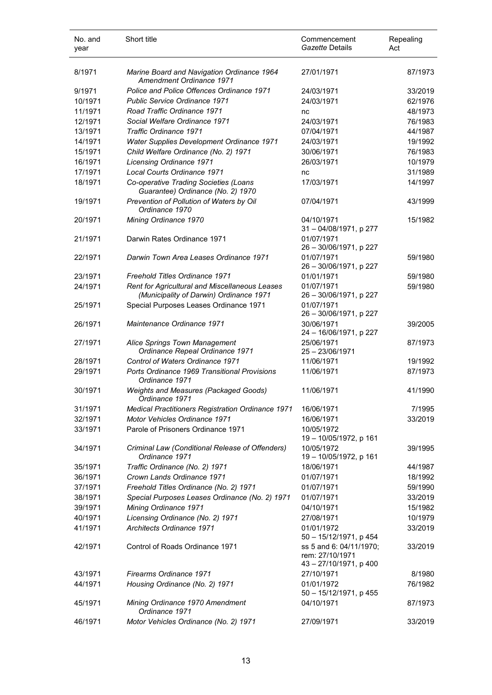| No. and<br>year | Short title                                                                               | Commencement<br>Gazette Details                                      | Repealing<br>Act |
|-----------------|-------------------------------------------------------------------------------------------|----------------------------------------------------------------------|------------------|
| 8/1971          | Marine Board and Navigation Ordinance 1964<br>Amendment Ordinance 1971                    | 27/01/1971                                                           | 87/1973          |
| 9/1971          | Police and Police Offences Ordinance 1971                                                 | 24/03/1971                                                           | 33/2019          |
| 10/1971         | <b>Public Service Ordinance 1971</b>                                                      | 24/03/1971                                                           | 62/1976          |
| 11/1971         | Road Traffic Ordinance 1971                                                               | nc                                                                   | 48/1973          |
| 12/1971         | Social Welfare Ordinance 1971                                                             | 24/03/1971                                                           | 76/1983          |
| 13/1971         | Traffic Ordinance 1971                                                                    | 07/04/1971                                                           | 44/1987          |
| 14/1971         | <b>Water Supplies Development Ordinance 1971</b>                                          | 24/03/1971                                                           | 19/1992          |
| 15/1971         | Child Welfare Ordinance (No. 2) 1971                                                      | 30/06/1971                                                           | 76/1983          |
| 16/1971         | Licensing Ordinance 1971                                                                  | 26/03/1971                                                           | 10/1979          |
| 17/1971         | Local Courts Ordinance 1971                                                               | nc                                                                   | 31/1989          |
| 18/1971         | Co-operative Trading Societies (Loans<br>Guarantee) Ordinance (No. 2) 1970                | 17/03/1971                                                           | 14/1997          |
| 19/1971         | Prevention of Pollution of Waters by Oil<br>Ordinance 1970                                | 07/04/1971                                                           | 43/1999          |
| 20/1971         | Mining Ordinance 1970                                                                     | 04/10/1971<br>31 - 04/08/1971, p 277                                 | 15/1982          |
| 21/1971         | Darwin Rates Ordinance 1971                                                               | 01/07/1971<br>26 - 30/06/1971, p 227                                 |                  |
| 22/1971         | Darwin Town Area Leases Ordinance 1971                                                    | 01/07/1971<br>26 - 30/06/1971, p 227                                 | 59/1980          |
| 23/1971         | Freehold Titles Ordinance 1971                                                            | 01/01/1971                                                           | 59/1980          |
| 24/1971         | Rent for Agricultural and Miscellaneous Leases<br>(Municipality of Darwin) Ordinance 1971 | 01/07/1971<br>26 - 30/06/1971, p 227                                 | 59/1980          |
| 25/1971         | Special Purposes Leases Ordinance 1971                                                    | 01/07/1971<br>26 - 30/06/1971, p 227                                 |                  |
| 26/1971         | Maintenance Ordinance 1971                                                                | 30/06/1971<br>24 - 16/06/1971, p 227                                 | 39/2005          |
| 27/1971         | Alice Springs Town Management<br>Ordinance Repeal Ordinance 1971                          | 25/06/1971<br>$25 - 23/06/1971$                                      | 87/1973          |
| 28/1971         | Control of Waters Ordinance 1971                                                          | 11/06/1971                                                           | 19/1992          |
| 29/1971         | Ports Ordinance 1969 Transitional Provisions<br>Ordinance 1971                            | 11/06/1971                                                           | 87/1973          |
| 30/1971         | Weights and Measures (Packaged Goods)<br>Ordinance 1971                                   | 11/06/1971                                                           | 41/1990          |
| 31/1971         | <b>Medical Practitioners Registration Ordinance 1971</b>                                  | 16/06/1971                                                           | 7/1995           |
| 32/1971         | Motor Vehicles Ordinance 1971                                                             | 16/06/1971                                                           | 33/2019          |
| 33/1971         | Parole of Prisoners Ordinance 1971                                                        | 10/05/1972<br>19 - 10/05/1972, p 161                                 |                  |
| 34/1971         | Criminal Law (Conditional Release of Offenders)<br>Ordinance 1971                         | 10/05/1972<br>19 - 10/05/1972, p 161                                 | 39/1995          |
| 35/1971         | Traffic Ordinance (No. 2) 1971                                                            | 18/06/1971                                                           | 44/1987          |
| 36/1971         | Crown Lands Ordinance 1971                                                                | 01/07/1971                                                           | 18/1992          |
| 37/1971         | Freehold Titles Ordinance (No. 2) 1971                                                    | 01/07/1971                                                           | 59/1990          |
| 38/1971         | Special Purposes Leases Ordinance (No. 2) 1971                                            | 01/07/1971                                                           | 33/2019          |
| 39/1971         | Mining Ordinance 1971                                                                     | 04/10/1971                                                           | 15/1982          |
| 40/1971         | Licensing Ordinance (No. 2) 1971                                                          | 27/08/1971                                                           | 10/1979          |
| 41/1971         | <b>Architects Ordinance 1971</b>                                                          | 01/01/1972<br>50 - 15/12/1971, p 454                                 | 33/2019          |
| 42/1971         | Control of Roads Ordinance 1971                                                           | ss 5 and 6: 04/11/1970;<br>rem: 27/10/1971<br>43 - 27/10/1971, p 400 | 33/2019          |
| 43/1971         | Firearms Ordinance 1971                                                                   | 27/10/1971                                                           | 8/1980           |
| 44/1971         | Housing Ordinance (No. 2) 1971                                                            | 01/01/1972<br>50 - 15/12/1971, p 455                                 | 76/1982          |
| 45/1971         | Mining Ordinance 1970 Amendment<br>Ordinance 1971                                         | 04/10/1971                                                           | 87/1973          |
| 46/1971         | Motor Vehicles Ordinance (No. 2) 1971                                                     | 27/09/1971                                                           | 33/2019          |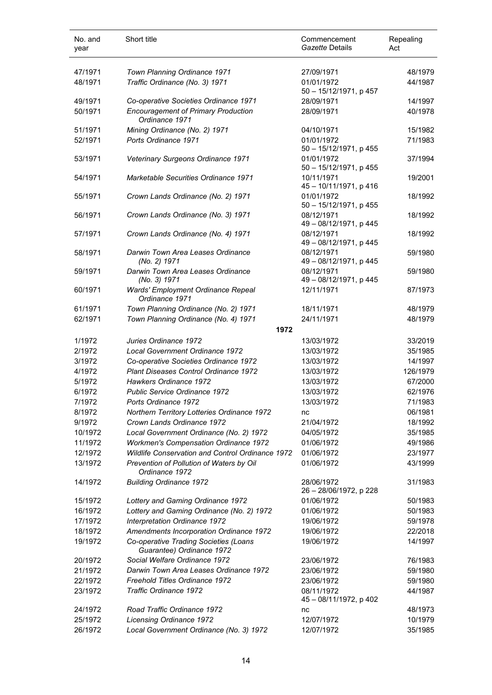| No. and<br>year | Short title                                                          | Commencement<br>Gazette Details         | Repealing<br>Act |
|-----------------|----------------------------------------------------------------------|-----------------------------------------|------------------|
| 47/1971         | Town Planning Ordinance 1971                                         | 27/09/1971                              | 48/1979          |
| 48/1971         | Traffic Ordinance (No. 3) 1971                                       | 01/01/1972<br>50 - 15/12/1971, p 457    | 44/1987          |
| 49/1971         | Co-operative Societies Ordinance 1971                                | 28/09/1971                              | 14/1997          |
| 50/1971         | <b>Encouragement of Primary Production</b><br>Ordinance 1971         | 28/09/1971                              | 40/1978          |
| 51/1971         | Mining Ordinance (No. 2) 1971                                        | 04/10/1971                              | 15/1982          |
| 52/1971         | Ports Ordinance 1971                                                 | 01/01/1972<br>50 - 15/12/1971, p 455    | 71/1983          |
| 53/1971         | Veterinary Surgeons Ordinance 1971                                   | 01/01/1972<br>$50 - 15/12/1971$ , p 455 | 37/1994          |
| 54/1971         | <b>Marketable Securities Ordinance 1971</b>                          | 10/11/1971<br>45 - 10/11/1971, p 416    | 19/2001          |
| 55/1971         | Crown Lands Ordinance (No. 2) 1971                                   | 01/01/1972<br>50 - 15/12/1971, p 455    | 18/1992          |
| 56/1971         | Crown Lands Ordinance (No. 3) 1971                                   | 08/12/1971<br>49 - 08/12/1971, p 445    | 18/1992          |
| 57/1971         | Crown Lands Ordinance (No. 4) 1971                                   | 08/12/1971<br>49 - 08/12/1971, p 445    | 18/1992          |
| 58/1971         | Darwin Town Area Leases Ordinance<br>(No. 2) 1971                    | 08/12/1971<br>49 - 08/12/1971, p 445    | 59/1980          |
| 59/1971         | Darwin Town Area Leases Ordinance                                    | 08/12/1971                              | 59/1980          |
| 60/1971         | (No. 3) 1971<br>Wards' Employment Ordinance Repeal<br>Ordinance 1971 | 49 - 08/12/1971, p 445<br>12/11/1971    | 87/1973          |
| 61/1971         | Town Planning Ordinance (No. 2) 1971                                 | 18/11/1971                              | 48/1979          |
| 62/1971         | Town Planning Ordinance (No. 4) 1971                                 | 24/11/1971                              | 48/1979          |
|                 | 1972                                                                 |                                         |                  |
| 1/1972          | Juries Ordinance 1972                                                | 13/03/1972                              | 33/2019          |
| 2/1972          | Local Government Ordinance 1972                                      | 13/03/1972                              | 35/1985          |
| 3/1972          | Co-operative Societies Ordinance 1972                                | 13/03/1972                              | 14/1997          |
| 4/1972          | Plant Diseases Control Ordinance 1972                                | 13/03/1972                              | 126/1979         |
| 5/1972          | Hawkers Ordinance 1972                                               | 13/03/1972                              | 67/2000          |
| 6/1972          | Public Service Ordinance 1972                                        | 13/03/1972                              | 62/1976          |
| 7/1972          | Ports Ordinance 1972                                                 | 13/03/1972                              | 71/1983          |
| 8/1972          | Northern Territory Lotteries Ordinance 1972                          | nc                                      | 06/1981          |
| 9/1972          | Crown Lands Ordinance 1972                                           | 21/04/1972                              | 18/1992          |
| 10/1972         | Local Government Ordinance (No. 2) 1972                              | 04/05/1972                              | 35/1985          |
| 11/1972         | <b>Workmen's Compensation Ordinance 1972</b>                         | 01/06/1972                              | 49/1986          |
| 12/1972         | <b>Wildlife Conservation and Control Ordinance 1972</b>              | 01/06/1972                              | 23/1977          |
| 13/1972         | Prevention of Pollution of Waters by Oil<br>Ordinance 1972           | 01/06/1972                              | 43/1999          |
| 14/1972         | <b>Building Ordinance 1972</b>                                       | 28/06/1972<br>26 - 28/06/1972, p 228    | 31/1983          |
| 15/1972         | Lottery and Gaming Ordinance 1972                                    | 01/06/1972                              | 50/1983          |
| 16/1972         | Lottery and Gaming Ordinance (No. 2) 1972                            | 01/06/1972                              | 50/1983          |
| 17/1972         | Interpretation Ordinance 1972                                        | 19/06/1972                              | 59/1978          |
| 18/1972         | Amendments Incorporation Ordinance 1972                              | 19/06/1972                              | 22/2018          |
| 19/1972         | Co-operative Trading Societies (Loans<br>Guarantee) Ordinance 1972   | 19/06/1972                              | 14/1997          |
| 20/1972         | Social Welfare Ordinance 1972                                        | 23/06/1972                              | 76/1983          |
| 21/1972         | Darwin Town Area Leases Ordinance 1972                               | 23/06/1972                              | 59/1980          |
| 22/1972         | Freehold Titles Ordinance 1972                                       | 23/06/1972                              | 59/1980          |
| 23/1972         | Traffic Ordinance 1972                                               | 08/11/1972                              | 44/1987          |
| 24/1972         | Road Traffic Ordinance 1972                                          | 45 - 08/11/1972, p 402                  | 48/1973          |
|                 |                                                                      | nc                                      |                  |
| 25/1972         | <b>Licensing Ordinance 1972</b>                                      | 12/07/1972                              | 10/1979          |
| 26/1972         | Local Government Ordinance (No. 3) 1972                              | 12/07/1972                              | 35/1985          |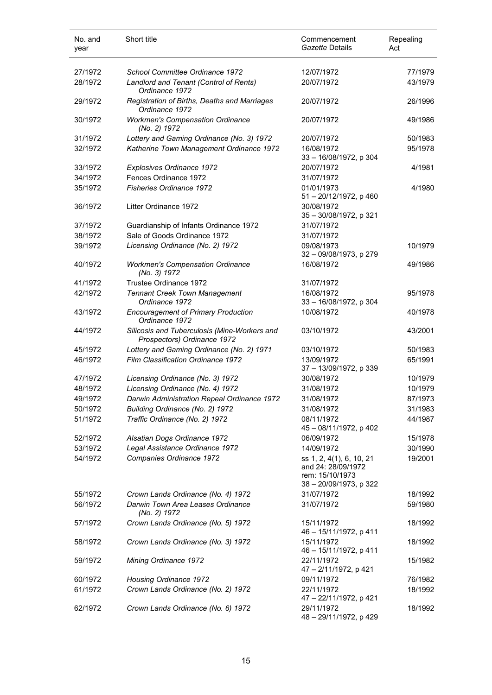| No. and<br>year    | Short title                                                                 | Commencement<br>Gazette Details                                                                           | Repealing<br>Act   |
|--------------------|-----------------------------------------------------------------------------|-----------------------------------------------------------------------------------------------------------|--------------------|
| 27/1972            | School Committee Ordinance 1972                                             | 12/07/1972                                                                                                | 77/1979            |
| 28/1972            | Landlord and Tenant (Control of Rents)<br>Ordinance 1972                    | 20/07/1972                                                                                                | 43/1979            |
| 29/1972            | Registration of Births, Deaths and Marriages<br>Ordinance 1972              | 20/07/1972                                                                                                | 26/1996            |
| 30/1972            | <b>Workmen's Compensation Ordinance</b><br>(No. 2) 1972                     | 20/07/1972                                                                                                | 49/1986            |
| 31/1972            | Lottery and Gaming Ordinance (No. 3) 1972                                   | 20/07/1972                                                                                                | 50/1983            |
| 32/1972            | Katherine Town Management Ordinance 1972                                    | 16/08/1972<br>33 - 16/08/1972, p 304                                                                      | 95/1978            |
| 33/1972            | Explosives Ordinance 1972                                                   | 20/07/1972                                                                                                | 4/1981             |
| 34/1972            | Fences Ordinance 1972                                                       | 31/07/1972                                                                                                |                    |
| 35/1972            | <b>Fisheries Ordinance 1972</b>                                             | 01/01/1973<br>51 - 20/12/1972, p 460                                                                      | 4/1980             |
| 36/1972            | Litter Ordinance 1972                                                       | 30/08/1972<br>35 - 30/08/1972, p 321                                                                      |                    |
| 37/1972            | Guardianship of Infants Ordinance 1972                                      | 31/07/1972                                                                                                |                    |
| 38/1972            | Sale of Goods Ordinance 1972                                                | 31/07/1972                                                                                                |                    |
| 39/1972            | Licensing Ordinance (No. 2) 1972                                            | 09/08/1973<br>32 - 09/08/1973, p 279                                                                      | 10/1979            |
| 40/1972            | <b>Workmen's Compensation Ordinance</b><br>(No. 3) 1972                     | 16/08/1972                                                                                                | 49/1986            |
| 41/1972            | Trustee Ordinance 1972                                                      | 31/07/1972                                                                                                |                    |
| 42/1972            | <b>Tennant Creek Town Management</b><br>Ordinance 1972                      | 16/08/1972<br>33 - 16/08/1972, p 304                                                                      | 95/1978            |
| 43/1972            | <b>Encouragement of Primary Production</b><br>Ordinance 1972                | 10/08/1972                                                                                                | 40/1978            |
| 44/1972            | Silicosis and Tuberculosis (Mine-Workers and<br>Prospectors) Ordinance 1972 | 03/10/1972                                                                                                | 43/2001            |
| 45/1972            | Lottery and Gaming Ordinance (No. 2) 1971                                   | 03/10/1972                                                                                                | 50/1983            |
| 46/1972            | Film Classification Ordinance 1972                                          | 13/09/1972<br>37 - 13/09/1972, p 339                                                                      | 65/1991            |
| 47/1972            | Licensing Ordinance (No. 3) 1972                                            | 30/08/1972                                                                                                | 10/1979            |
| 48/1972            | Licensing Ordinance (No. 4) 1972                                            | 31/08/1972                                                                                                | 10/1979            |
| 49/1972            | Darwin Administration Repeal Ordinance 1972                                 | 31/08/1972                                                                                                | 87/1973            |
| 50/1972            | Building Ordinance (No. 2) 1972                                             | 31/08/1972                                                                                                | 31/1983            |
| 51/1972            | Traffic Ordinance (No. 2) 1972                                              | 08/11/1972<br>45 - 08/11/1972, p 402                                                                      | 44/1987            |
| 52/1972            | Alsatian Dogs Ordinance 1972                                                | 06/09/1972                                                                                                | 15/1978            |
| 53/1972<br>54/1972 | Legal Assistance Ordinance 1972<br>Companies Ordinance 1972                 | 14/09/1972<br>ss 1, 2, 4(1), 6, 10, 21<br>and 24: 28/09/1972<br>rem: 15/10/1973<br>38 - 20/09/1973, p 322 | 30/1990<br>19/2001 |
| 55/1972            | Crown Lands Ordinance (No. 4) 1972                                          | 31/07/1972                                                                                                | 18/1992            |
| 56/1972            | Darwin Town Area Leases Ordinance<br>(No. 2) 1972                           | 31/07/1972                                                                                                | 59/1980            |
| 57/1972            | Crown Lands Ordinance (No. 5) 1972                                          | 15/11/1972<br>46 - 15/11/1972, p 411                                                                      | 18/1992            |
| 58/1972            | Crown Lands Ordinance (No. 3) 1972                                          | 15/11/1972<br>46 - 15/11/1972, p 411                                                                      | 18/1992            |
| 59/1972            | Mining Ordinance 1972                                                       | 22/11/1972<br>47 - 2/11/1972, p 421                                                                       | 15/1982            |
| 60/1972            | Housing Ordinance 1972                                                      | 09/11/1972                                                                                                | 76/1982            |
| 61/1972            | Crown Lands Ordinance (No. 2) 1972                                          | 22/11/1972<br>47 - 22/11/1972, p 421                                                                      | 18/1992            |
| 62/1972            | Crown Lands Ordinance (No. 6) 1972                                          | 29/11/1972<br>48 - 29/11/1972, p 429                                                                      | 18/1992            |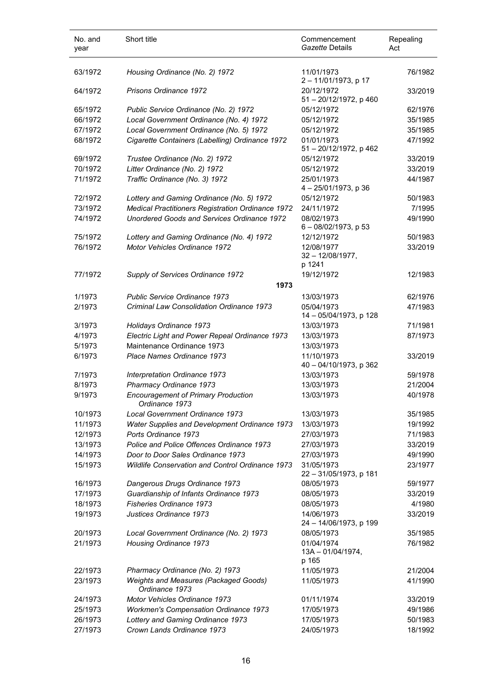| No. and<br>year | Short title                                                  | Commencement<br><i>Gazette</i> Details      | Repealing<br>Act |
|-----------------|--------------------------------------------------------------|---------------------------------------------|------------------|
| 63/1972         | Housing Ordinance (No. 2) 1972                               | 11/01/1973<br>2-11/01/1973, p 17            | 76/1982          |
| 64/1972         | Prisons Ordinance 1972                                       | 20/12/1972<br>51 - 20/12/1972, p 460        | 33/2019          |
| 65/1972         | Public Service Ordinance (No. 2) 1972                        | 05/12/1972                                  | 62/1976          |
| 66/1972         | Local Government Ordinance (No. 4) 1972                      | 05/12/1972                                  | 35/1985          |
| 67/1972         | Local Government Ordinance (No. 5) 1972                      | 05/12/1972                                  | 35/1985          |
| 68/1972         | Cigarette Containers (Labelling) Ordinance 1972              | 01/01/1973<br>51 - 20/12/1972, p 462        | 47/1992          |
| 69/1972         | Trustee Ordinance (No. 2) 1972                               | 05/12/1972                                  | 33/2019          |
| 70/1972         | Litter Ordinance (No. 2) 1972                                | 05/12/1972                                  | 33/2019          |
| 71/1972         | Traffic Ordinance (No. 3) 1972                               | 25/01/1973<br>4-25/01/1973, p 36            | 44/1987          |
| 72/1972         | Lottery and Gaming Ordinance (No. 5) 1972                    | 05/12/1972                                  | 50/1983          |
| 73/1972         | <b>Medical Practitioners Registration Ordinance 1972</b>     | 24/11/1972                                  | 7/1995           |
| 74/1972         | Unordered Goods and Services Ordinance 1972                  | 08/02/1973<br>6 - 08/02/1973, p 53          | 49/1990          |
| 75/1972         | Lottery and Gaming Ordinance (No. 4) 1972                    | 12/12/1972                                  | 50/1983          |
| 76/1972         | Motor Vehicles Ordinance 1972                                | 12/08/1977<br>$32 - 12/08/1977$ ,<br>p 1241 | 33/2019          |
| 77/1972         | Supply of Services Ordinance 1972                            | 19/12/1972                                  | 12/1983          |
|                 | 1973                                                         |                                             |                  |
| 1/1973          | Public Service Ordinance 1973                                | 13/03/1973                                  | 62/1976          |
| 2/1973          | Criminal Law Consolidation Ordinance 1973                    | 05/04/1973<br>14 - 05/04/1973, p 128        | 47/1983          |
| 3/1973          | Holidays Ordinance 1973                                      | 13/03/1973                                  | 71/1981          |
| 4/1973          | Electric Light and Power Repeal Ordinance 1973               | 13/03/1973                                  | 87/1973          |
| 5/1973          | Maintenance Ordinance 1973                                   | 13/03/1973                                  |                  |
| 6/1973          | Place Names Ordinance 1973                                   | 11/10/1973<br>40 - 04/10/1973, p 362        | 33/2019          |
| 7/1973          | Interpretation Ordinance 1973                                | 13/03/1973                                  | 59/1978          |
| 8/1973          | Pharmacy Ordinance 1973                                      | 13/03/1973                                  | 21/2004          |
| 9/1973          | <b>Encouragement of Primary Production</b><br>Ordinance 1973 | 13/03/1973                                  | 40/1978          |
| 10/1973         | Local Government Ordinance 1973                              | 13/03/1973                                  | 35/1985          |
| 11/1973         | Water Supplies and Development Ordinance 1973                | 13/03/1973                                  | 19/1992          |
| 12/1973         | Ports Ordinance 1973                                         | 27/03/1973                                  | 71/1983          |
| 13/1973         | Police and Police Offences Ordinance 1973                    | 27/03/1973                                  | 33/2019          |
| 14/1973         | Door to Door Sales Ordinance 1973                            | 27/03/1973                                  | 49/1990          |
| 15/1973         | <b>Wildlife Conservation and Control Ordinance 1973</b>      | 31/05/1973<br>22 - 31/05/1973, p 181        | 23/1977          |
| 16/1973         | Dangerous Drugs Ordinance 1973                               | 08/05/1973                                  | 59/1977          |
| 17/1973         | Guardianship of Infants Ordinance 1973                       | 08/05/1973                                  | 33/2019          |
| 18/1973         | Fisheries Ordinance 1973                                     | 08/05/1973                                  | 4/1980           |
| 19/1973         | Justices Ordinance 1973                                      | 14/06/1973<br>24 - 14/06/1973, p 199        | 33/2019          |
| 20/1973         | Local Government Ordinance (No. 2) 1973                      | 08/05/1973                                  | 35/1985          |
| 21/1973         | Housing Ordinance 1973                                       | 01/04/1974<br>13A - 01/04/1974,<br>p 165    | 76/1982          |
| 22/1973         | Pharmacy Ordinance (No. 2) 1973                              | 11/05/1973                                  | 21/2004          |
| 23/1973         | Weights and Measures (Packaged Goods)<br>Ordinance 1973      | 11/05/1973                                  | 41/1990          |
| 24/1973         | Motor Vehicles Ordinance 1973                                | 01/11/1974                                  | 33/2019          |
| 25/1973         | <b>Workmen's Compensation Ordinance 1973</b>                 | 17/05/1973                                  | 49/1986          |
| 26/1973         | Lottery and Gaming Ordinance 1973                            | 17/05/1973                                  | 50/1983          |
| 27/1973         | Crown Lands Ordinance 1973                                   | 24/05/1973                                  | 18/1992          |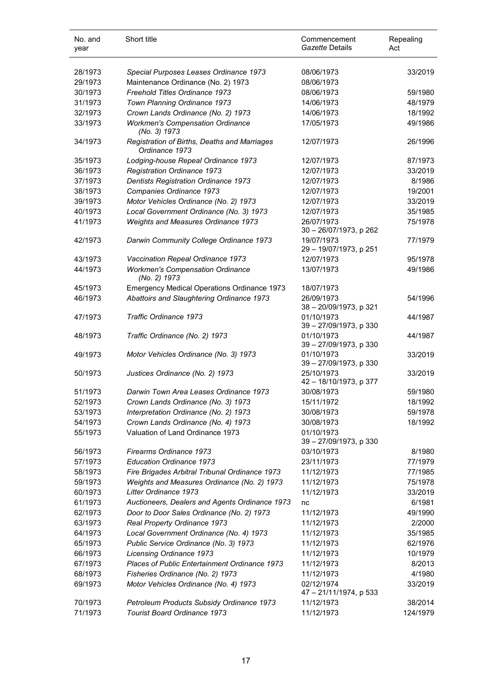| No. and<br>year | Short title                                                          | Commencement<br>Gazette Details      | Repealing<br>Act |
|-----------------|----------------------------------------------------------------------|--------------------------------------|------------------|
| 28/1973         | Special Purposes Leases Ordinance 1973                               | 08/06/1973                           | 33/2019          |
| 29/1973         |                                                                      | 08/06/1973                           |                  |
|                 | Maintenance Ordinance (No. 2) 1973<br>Freehold Titles Ordinance 1973 |                                      |                  |
| 30/1973         |                                                                      | 08/06/1973                           | 59/1980          |
| 31/1973         | Town Planning Ordinance 1973                                         | 14/06/1973                           | 48/1979          |
| 32/1973         | Crown Lands Ordinance (No. 2) 1973                                   | 14/06/1973                           | 18/1992          |
| 33/1973         | <b>Workmen's Compensation Ordinance</b><br>(No. 3) 1973              | 17/05/1973                           | 49/1986          |
| 34/1973         | Registration of Births, Deaths and Marriages<br>Ordinance 1973       | 12/07/1973                           | 26/1996          |
| 35/1973         | Lodging-house Repeal Ordinance 1973                                  | 12/07/1973                           | 87/1973          |
| 36/1973         | Registration Ordinance 1973                                          | 12/07/1973                           | 33/2019          |
| 37/1973         | <b>Dentists Registration Ordinance 1973</b>                          | 12/07/1973                           | 8/1986           |
| 38/1973         | Companies Ordinance 1973                                             | 12/07/1973                           | 19/2001          |
| 39/1973         | Motor Vehicles Ordinance (No. 2) 1973                                | 12/07/1973                           | 33/2019          |
| 40/1973         | Local Government Ordinance (No. 3) 1973                              | 12/07/1973                           | 35/1985          |
| 41/1973         | Weights and Measures Ordinance 1973                                  | 26/07/1973                           | 75/1978          |
|                 |                                                                      | 30 - 26/07/1973, p 262               |                  |
| 42/1973         | Darwin Community College Ordinance 1973                              | 19/07/1973                           | 77/1979          |
|                 |                                                                      | 29 - 19/07/1973, p 251               |                  |
| 43/1973         | Vaccination Repeal Ordinance 1973                                    | 12/07/1973                           | 95/1978          |
| 44/1973         | <b>Workmen's Compensation Ordinance</b><br>(No. 2) 1973              | 13/07/1973                           | 49/1986          |
| 45/1973         | <b>Emergency Medical Operations Ordinance 1973</b>                   | 18/07/1973                           |                  |
| 46/1973         | Abattoirs and Slaughtering Ordinance 1973                            | 26/09/1973                           | 54/1996          |
|                 |                                                                      | 38 - 20/09/1973, p 321               |                  |
| 47/1973         | Traffic Ordinance 1973                                               | 01/10/1973<br>39 - 27/09/1973, p 330 | 44/1987          |
| 48/1973         | Traffic Ordinance (No. 2) 1973                                       | 01/10/1973<br>39 - 27/09/1973, p 330 | 44/1987          |
| 49/1973         | Motor Vehicles Ordinance (No. 3) 1973                                | 01/10/1973<br>39 - 27/09/1973, p 330 | 33/2019          |
| 50/1973         | Justices Ordinance (No. 2) 1973                                      | 25/10/1973<br>42 - 18/10/1973, p 377 | 33/2019          |
| 51/1973         | Darwin Town Area Leases Ordinance 1973                               | 30/08/1973                           | 59/1980          |
| 52/1973         | Crown Lands Ordinance (No. 3) 1973                                   | 15/11/1972                           | 18/1992          |
| 53/1973         | Interpretation Ordinance (No. 2) 1973                                | 30/08/1973                           | 59/1978          |
| 54/1973         | Crown Lands Ordinance (No. 4) 1973                                   | 30/08/1973                           | 18/1992          |
| 55/1973         | Valuation of Land Ordinance 1973                                     | 01/10/1973<br>39 - 27/09/1973, p 330 |                  |
| 56/1973         | Firearms Ordinance 1973                                              | 03/10/1973                           | 8/1980           |
| 57/1973         | <b>Education Ordinance 1973</b>                                      | 23/11/1973                           | 77/1979          |
| 58/1973         | Fire Brigades Arbitral Tribunal Ordinance 1973                       | 11/12/1973                           | 77/1985          |
| 59/1973         | Weights and Measures Ordinance (No. 2) 1973                          | 11/12/1973                           | 75/1978          |
| 60/1973         | Litter Ordinance 1973                                                | 11/12/1973                           | 33/2019          |
| 61/1973         | Auctioneers, Dealers and Agents Ordinance 1973                       | nc                                   | 6/1981           |
| 62/1973         | Door to Door Sales Ordinance (No. 2) 1973                            | 11/12/1973                           | 49/1990          |
| 63/1973         | Real Property Ordinance 1973                                         | 11/12/1973                           | 2/2000           |
| 64/1973         | Local Government Ordinance (No. 4) 1973                              | 11/12/1973                           | 35/1985          |
| 65/1973         | Public Service Ordinance (No. 3) 1973                                | 11/12/1973                           | 62/1976          |
| 66/1973         | Licensing Ordinance 1973                                             | 11/12/1973                           | 10/1979          |
|                 |                                                                      |                                      |                  |
| 67/1973         | Places of Public Entertainment Ordinance 1973                        | 11/12/1973                           | 8/2013           |
| 68/1973         | Fisheries Ordinance (No. 2) 1973                                     | 11/12/1973                           | 4/1980           |
| 69/1973         | Motor Vehicles Ordinance (No. 4) 1973                                | 02/12/1974<br>47 - 21/11/1974, p 533 | 33/2019          |
| 70/1973         | Petroleum Products Subsidy Ordinance 1973                            | 11/12/1973                           | 38/2014          |
| 71/1973         | Tourist Board Ordinance 1973                                         | 11/12/1973                           | 124/1979         |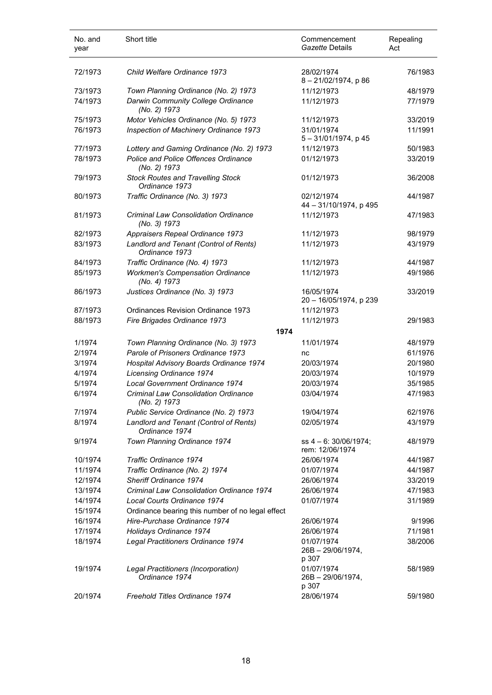| No. and<br>year | Short title                                                 | Commencement<br>Gazette Details             | Repealing<br>Act |
|-----------------|-------------------------------------------------------------|---------------------------------------------|------------------|
| 72/1973         | Child Welfare Ordinance 1973                                | 28/02/1974<br>8-21/02/1974, p 86            | 76/1983          |
| 73/1973         | Town Planning Ordinance (No. 2) 1973                        | 11/12/1973                                  | 48/1979          |
| 74/1973         | Darwin Community College Ordinance<br>(No. 2) 1973          | 11/12/1973                                  | 77/1979          |
| 75/1973         | Motor Vehicles Ordinance (No. 5) 1973                       | 11/12/1973                                  | 33/2019          |
| 76/1973         | Inspection of Machinery Ordinance 1973                      | 31/01/1974<br>5 - 31/01/1974, p 45          | 11/1991          |
| 77/1973         | Lottery and Gaming Ordinance (No. 2) 1973                   | 11/12/1973                                  | 50/1983          |
| 78/1973         | Police and Police Offences Ordinance<br>(No. 2) 1973        | 01/12/1973                                  | 33/2019          |
| 79/1973         | <b>Stock Routes and Travelling Stock</b><br>Ordinance 1973  | 01/12/1973                                  | 36/2008          |
| 80/1973         | Traffic Ordinance (No. 3) 1973                              | 02/12/1974<br>44 - 31/10/1974, p 495        | 44/1987          |
| 81/1973         | <b>Criminal Law Consolidation Ordinance</b><br>(No. 3) 1973 | 11/12/1973                                  | 47/1983          |
| 82/1973         | Appraisers Repeal Ordinance 1973                            | 11/12/1973                                  | 98/1979          |
| 83/1973         | Landlord and Tenant (Control of Rents)<br>Ordinance 1973    | 11/12/1973                                  | 43/1979          |
| 84/1973         | Traffic Ordinance (No. 4) 1973                              | 11/12/1973                                  | 44/1987          |
| 85/1973         | <b>Workmen's Compensation Ordinance</b><br>(No. 4) 1973     | 11/12/1973                                  | 49/1986          |
| 86/1973         | Justices Ordinance (No. 3) 1973                             | 16/05/1974<br>20 - 16/05/1974, p 239        | 33/2019          |
| 87/1973         | Ordinances Revision Ordinance 1973                          | 11/12/1973                                  |                  |
| 88/1973         | Fire Brigades Ordinance 1973<br>1974                        | 11/12/1973                                  | 29/1983          |
| 1/1974          | Town Planning Ordinance (No. 3) 1973                        | 11/01/1974                                  | 48/1979          |
| 2/1974          | Parole of Prisoners Ordinance 1973                          | nc                                          | 61/1976          |
| 3/1974          | Hospital Advisory Boards Ordinance 1974                     | 20/03/1974                                  | 20/1980          |
| 4/1974          | <b>Licensing Ordinance 1974</b>                             | 20/03/1974                                  | 10/1979          |
| 5/1974          | Local Government Ordinance 1974                             | 20/03/1974                                  | 35/1985          |
| 6/1974          | <b>Criminal Law Consolidation Ordinance</b><br>(No. 2) 1973 | 03/04/1974                                  | 47/1983          |
| 7/1974          | Public Service Ordinance (No. 2) 1973                       | 19/04/1974                                  | 62/1976          |
| 8/1974          | Landlord and Tenant (Control of Rents)<br>Ordinance 1974    | 02/05/1974                                  | 43/1979          |
| 9/1974          | Town Planning Ordinance 1974                                | ss $4 - 6$ : 30/06/1974;<br>rem: 12/06/1974 | 48/1979          |
| 10/1974         | <b>Traffic Ordinance 1974</b>                               | 26/06/1974                                  | 44/1987          |
| 11/1974         | Traffic Ordinance (No. 2) 1974                              | 01/07/1974                                  | 44/1987          |
| 12/1974         | Sheriff Ordinance 1974                                      | 26/06/1974                                  | 33/2019          |
| 13/1974         | <b>Criminal Law Consolidation Ordinance 1974</b>            | 26/06/1974                                  | 47/1983          |
| 14/1974         | Local Courts Ordinance 1974                                 | 01/07/1974                                  | 31/1989          |
| 15/1974         | Ordinance bearing this number of no legal effect            |                                             |                  |
| 16/1974         | Hire-Purchase Ordinance 1974                                | 26/06/1974                                  | 9/1996           |
| 17/1974         | Holidays Ordinance 1974                                     | 26/06/1974                                  | 71/1981          |
| 18/1974         | Legal Practitioners Ordinance 1974                          | 01/07/1974<br>$26B - 29/06/1974$ ,<br>p 307 | 38/2006          |
| 19/1974         | Legal Practitioners (Incorporation)<br>Ordinance 1974       | 01/07/1974<br>$26B - 29/06/1974$ ,<br>p 307 | 58/1989          |
| 20/1974         | Freehold Titles Ordinance 1974                              | 28/06/1974                                  | 59/1980          |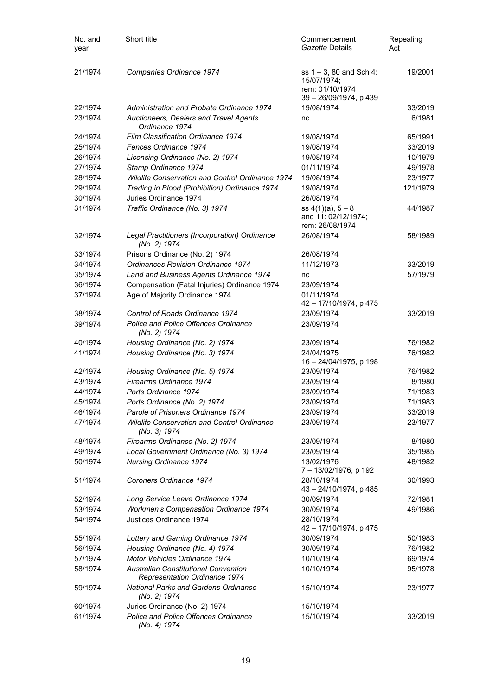| No. and<br>year | Short title                                                                  | Commencement<br>Gazette Details                                                        | Repealing<br>Act |
|-----------------|------------------------------------------------------------------------------|----------------------------------------------------------------------------------------|------------------|
| 21/1974         | Companies Ordinance 1974                                                     | ss $1 - 3$ , 80 and Sch 4:<br>15/07/1974;<br>rem: 01/10/1974<br>39 - 26/09/1974, p 439 | 19/2001          |
| 22/1974         | Administration and Probate Ordinance 1974                                    | 19/08/1974                                                                             | 33/2019          |
| 23/1974         | Auctioneers, Dealers and Travel Agents<br>Ordinance 1974                     | nc                                                                                     | 6/1981           |
| 24/1974         | Film Classification Ordinance 1974                                           | 19/08/1974                                                                             | 65/1991          |
| 25/1974         | Fences Ordinance 1974                                                        | 19/08/1974                                                                             | 33/2019          |
| 26/1974         | Licensing Ordinance (No. 2) 1974                                             | 19/08/1974                                                                             | 10/1979          |
| 27/1974         | Stamp Ordinance 1974                                                         | 01/11/1974                                                                             | 49/1978          |
| 28/1974         | Wildlife Conservation and Control Ordinance 1974                             | 19/08/1974                                                                             | 23/1977          |
| 29/1974         | Trading in Blood (Prohibition) Ordinance 1974                                | 19/08/1974                                                                             | 121/1979         |
| 30/1974         | Juries Ordinance 1974                                                        | 26/08/1974                                                                             |                  |
| 31/1974         | Traffic Ordinance (No. 3) 1974                                               | ss $4(1)(a)$ , $5-8$<br>and 11: 02/12/1974;<br>rem: 26/08/1974                         | 44/1987          |
| 32/1974         | Legal Practitioners (Incorporation) Ordinance<br>(No. 2) 1974                | 26/08/1974                                                                             | 58/1989          |
| 33/1974         | Prisons Ordinance (No. 2) 1974                                               | 26/08/1974                                                                             |                  |
| 34/1974         | <b>Ordinances Revision Ordinance 1974</b>                                    | 11/12/1973                                                                             | 33/2019          |
| 35/1974         | Land and Business Agents Ordinance 1974                                      | nc                                                                                     | 57/1979          |
| 36/1974         | Compensation (Fatal Injuries) Ordinance 1974                                 | 23/09/1974                                                                             |                  |
| 37/1974         | Age of Majority Ordinance 1974                                               | 01/11/1974<br>42 - 17/10/1974, p 475                                                   |                  |
| 38/1974         | Control of Roads Ordinance 1974                                              | 23/09/1974                                                                             | 33/2019          |
| 39/1974         | Police and Police Offences Ordinance<br>(No. 2) 1974                         | 23/09/1974                                                                             |                  |
| 40/1974         | Housing Ordinance (No. 2) 1974                                               | 23/09/1974                                                                             | 76/1982          |
| 41/1974         | Housing Ordinance (No. 3) 1974                                               | 24/04/1975<br>16 - 24/04/1975, p 198                                                   | 76/1982          |
| 42/1974         | Housing Ordinance (No. 5) 1974                                               | 23/09/1974                                                                             | 76/1982          |
| 43/1974         | Firearms Ordinance 1974                                                      | 23/09/1974                                                                             | 8/1980           |
| 44/1974         | Ports Ordinance 1974                                                         | 23/09/1974                                                                             | 71/1983          |
| 45/1974         | Ports Ordinance (No. 2) 1974                                                 | 23/09/1974                                                                             | 71/1983          |
| 46/1974         | Parole of Prisoners Ordinance 1974                                           | 23/09/1974                                                                             | 33/2019          |
| 47/1974         | <b>Wildlife Conservation and Control Ordinance</b><br>(No. 3) 1974           | 23/09/1974                                                                             | 23/1977          |
| 48/1974         | Firearms Ordinance (No. 2) 1974                                              | 23/09/1974                                                                             | 8/1980           |
| 49/1974         | Local Government Ordinance (No. 3) 1974                                      | 23/09/1974                                                                             | 35/1985          |
| 50/1974         | <b>Nursing Ordinance 1974</b>                                                | 13/02/1976<br>7-13/02/1976, p 192                                                      | 48/1982          |
| 51/1974         | Coroners Ordinance 1974                                                      | 28/10/1974<br>43 - 24/10/1974, p 485                                                   | 30/1993          |
| 52/1974         | Long Service Leave Ordinance 1974                                            | 30/09/1974                                                                             | 72/1981          |
| 53/1974         | <b>Workmen's Compensation Ordinance 1974</b>                                 | 30/09/1974                                                                             | 49/1986          |
| 54/1974         | Justices Ordinance 1974                                                      | 28/10/1974<br>42 - 17/10/1974, p 475                                                   |                  |
| 55/1974         | Lottery and Gaming Ordinance 1974                                            | 30/09/1974                                                                             | 50/1983          |
| 56/1974         | Housing Ordinance (No. 4) 1974                                               | 30/09/1974                                                                             | 76/1982          |
| 57/1974         | Motor Vehicles Ordinance 1974                                                | 10/10/1974                                                                             | 69/1974          |
| 58/1974         | <b>Australian Constitutional Convention</b><br>Representation Ordinance 1974 | 10/10/1974                                                                             | 95/1978          |
| 59/1974         | <b>National Parks and Gardens Ordinance</b><br>(No. 2) 1974                  | 15/10/1974                                                                             | 23/1977          |
| 60/1974         | Juries Ordinance (No. 2) 1974                                                | 15/10/1974                                                                             |                  |
| 61/1974         | Police and Police Offences Ordinance<br>(No. 4) 1974                         | 15/10/1974                                                                             | 33/2019          |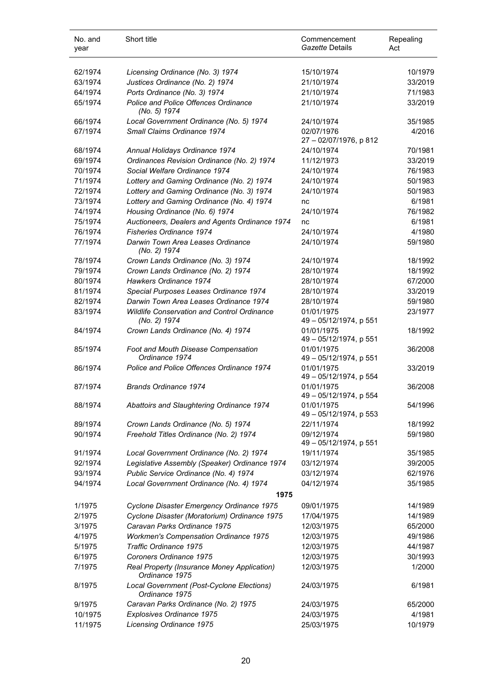| No. and<br>year | Short title                                                        | Commencement<br>Gazette Details      | Repealing<br>Act |
|-----------------|--------------------------------------------------------------------|--------------------------------------|------------------|
| 62/1974         | Licensing Ordinance (No. 3) 1974                                   | 15/10/1974                           | 10/1979          |
| 63/1974         | Justices Ordinance (No. 2) 1974                                    | 21/10/1974                           | 33/2019          |
| 64/1974         | Ports Ordinance (No. 3) 1974                                       | 21/10/1974                           | 71/1983          |
| 65/1974         | Police and Police Offences Ordinance<br>(No. 5) 1974               | 21/10/1974                           | 33/2019          |
| 66/1974         | Local Government Ordinance (No. 5) 1974                            | 24/10/1974                           | 35/1985          |
| 67/1974         | Small Claims Ordinance 1974                                        | 02/07/1976<br>27 - 02/07/1976, p 812 | 4/2016           |
| 68/1974         | Annual Holidays Ordinance 1974                                     | 24/10/1974                           | 70/1981          |
| 69/1974         | Ordinances Revision Ordinance (No. 2) 1974                         | 11/12/1973                           | 33/2019          |
| 70/1974         | Social Welfare Ordinance 1974                                      | 24/10/1974                           | 76/1983          |
| 71/1974         | Lottery and Gaming Ordinance (No. 2) 1974                          | 24/10/1974                           | 50/1983          |
| 72/1974         | Lottery and Gaming Ordinance (No. 3) 1974                          | 24/10/1974                           | 50/1983          |
| 73/1974         | Lottery and Gaming Ordinance (No. 4) 1974                          | nc                                   | 6/1981           |
| 74/1974         | Housing Ordinance (No. 6) 1974                                     | 24/10/1974                           | 76/1982          |
| 75/1974         | Auctioneers, Dealers and Agents Ordinance 1974                     | nc                                   | 6/1981           |
| 76/1974         | <b>Fisheries Ordinance 1974</b>                                    | 24/10/1974                           | 4/1980           |
| 77/1974         | Darwin Town Area Leases Ordinance<br>(No. 2) 1974                  | 24/10/1974                           | 59/1980          |
| 78/1974         | Crown Lands Ordinance (No. 3) 1974                                 | 24/10/1974                           | 18/1992          |
| 79/1974         | Crown Lands Ordinance (No. 2) 1974                                 | 28/10/1974                           | 18/1992          |
| 80/1974         | Hawkers Ordinance 1974                                             | 28/10/1974                           | 67/2000          |
| 81/1974         | Special Purposes Leases Ordinance 1974                             | 28/10/1974                           | 33/2019          |
| 82/1974         | Darwin Town Area Leases Ordinance 1974                             | 28/10/1974                           | 59/1980          |
| 83/1974         | <b>Wildlife Conservation and Control Ordinance</b><br>(No. 2) 1974 | 01/01/1975<br>49 - 05/12/1974, p 551 | 23/1977          |
| 84/1974         | Crown Lands Ordinance (No. 4) 1974                                 | 01/01/1975<br>49 - 05/12/1974, p 551 | 18/1992          |
| 85/1974         | Foot and Mouth Disease Compensation<br>Ordinance 1974              | 01/01/1975<br>49 - 05/12/1974, p 551 | 36/2008          |
| 86/1974         | Police and Police Offences Ordinance 1974                          | 01/01/1975<br>49 - 05/12/1974, p 554 | 33/2019          |
| 87/1974         | <b>Brands Ordinance 1974</b>                                       | 01/01/1975<br>49 - 05/12/1974, p 554 | 36/2008          |
| 88/1974         | Abattoirs and Slaughtering Ordinance 1974                          | 01/01/1975<br>49 - 05/12/1974, p 553 | 54/1996          |
| 89/1974         | Crown Lands Ordinance (No. 5) 1974                                 | 22/11/1974                           | 18/1992          |
| 90/1974         | Freehold Titles Ordinance (No. 2) 1974                             | 09/12/1974<br>49 - 05/12/1974, p 551 | 59/1980          |
| 91/1974         | Local Government Ordinance (No. 2) 1974                            | 19/11/1974                           | 35/1985          |
| 92/1974         | Legislative Assembly (Speaker) Ordinance 1974                      | 03/12/1974                           | 39/2005          |
| 93/1974         | Public Service Ordinance (No. 4) 1974                              | 03/12/1974                           | 62/1976          |
| 94/1974         | Local Government Ordinance (No. 4) 1974<br>1975                    | 04/12/1974                           | 35/1985          |
| 1/1975          | Cyclone Disaster Emergency Ordinance 1975                          | 09/01/1975                           | 14/1989          |
| 2/1975          | Cyclone Disaster (Moratorium) Ordinance 1975                       | 17/04/1975                           | 14/1989          |
| 3/1975          | Caravan Parks Ordinance 1975                                       | 12/03/1975                           | 65/2000          |
| 4/1975          | <b>Workmen's Compensation Ordinance 1975</b>                       | 12/03/1975                           | 49/1986          |
| 5/1975          | Traffic Ordinance 1975                                             | 12/03/1975                           | 44/1987          |
| 6/1975          | Coroners Ordinance 1975                                            | 12/03/1975                           | 30/1993          |
| 7/1975          | Real Property (Insurance Money Application)<br>Ordinance 1975      | 12/03/1975                           | 1/2000           |
| 8/1975          | Local Government (Post-Cyclone Elections)<br>Ordinance 1975        | 24/03/1975                           | 6/1981           |
| 9/1975          | Caravan Parks Ordinance (No. 2) 1975                               | 24/03/1975                           | 65/2000          |
| 10/1975         | Explosives Ordinance 1975                                          | 24/03/1975                           | 4/1981           |
| 11/1975         | Licensing Ordinance 1975                                           | 25/03/1975                           | 10/1979          |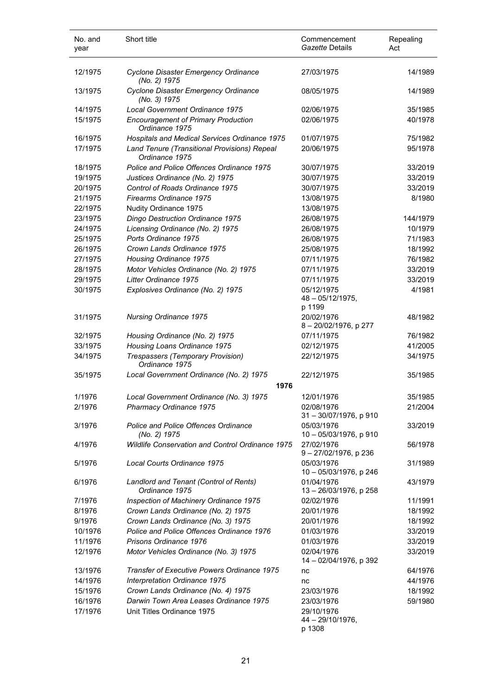| No. and<br>year | Short title                                                    | Commencement<br>Gazette Details             | Repealing<br>Act |
|-----------------|----------------------------------------------------------------|---------------------------------------------|------------------|
| 12/1975         | Cyclone Disaster Emergency Ordinance<br>(No. 2) 1975           | 27/03/1975                                  | 14/1989          |
| 13/1975         | Cyclone Disaster Emergency Ordinance<br>(No. 3) 1975           | 08/05/1975                                  | 14/1989          |
| 14/1975         | Local Government Ordinance 1975                                | 02/06/1975                                  | 35/1985          |
| 15/1975         | <b>Encouragement of Primary Production</b><br>Ordinance 1975   | 02/06/1975                                  | 40/1978          |
| 16/1975         | Hospitals and Medical Services Ordinance 1975                  | 01/07/1975                                  | 75/1982          |
| 17/1975         | Land Tenure (Transitional Provisions) Repeal<br>Ordinance 1975 | 20/06/1975                                  | 95/1978          |
| 18/1975         | Police and Police Offences Ordinance 1975                      | 30/07/1975                                  | 33/2019          |
| 19/1975         | Justices Ordinance (No. 2) 1975                                | 30/07/1975                                  | 33/2019          |
| 20/1975         | Control of Roads Ordinance 1975                                | 30/07/1975                                  | 33/2019          |
| 21/1975         | Firearms Ordinance 1975                                        | 13/08/1975                                  | 8/1980           |
| 22/1975         | Nudity Ordinance 1975                                          | 13/08/1975                                  |                  |
| 23/1975         | Dingo Destruction Ordinance 1975                               | 26/08/1975                                  | 144/1979         |
| 24/1975         | Licensing Ordinance (No. 2) 1975                               | 26/08/1975                                  | 10/1979          |
| 25/1975         | Ports Ordinance 1975                                           | 26/08/1975                                  | 71/1983          |
| 26/1975         | Crown Lands Ordinance 1975                                     | 25/08/1975                                  | 18/1992          |
| 27/1975         | Housing Ordinance 1975                                         | 07/11/1975                                  | 76/1982          |
| 28/1975         | Motor Vehicles Ordinance (No. 2) 1975                          | 07/11/1975                                  | 33/2019          |
| 29/1975         | Litter Ordinance 1975                                          | 07/11/1975                                  | 33/2019          |
|                 |                                                                |                                             |                  |
| 30/1975         | Explosives Ordinance (No. 2) 1975                              | 05/12/1975<br>$48 - 05/12/1975$ ,<br>p 1199 | 4/1981           |
| 31/1975         | <b>Nursing Ordinance 1975</b>                                  | 20/02/1976<br>8-20/02/1976, p 277           | 48/1982          |
| 32/1975         | Housing Ordinance (No. 2) 1975                                 | 07/11/1975                                  | 76/1982          |
| 33/1975         | Housing Loans Ordinance 1975                                   | 02/12/1975                                  | 41/2005          |
| 34/1975         | Trespassers (Temporary Provision)<br>Ordinance 1975            | 22/12/1975                                  | 34/1975          |
| 35/1975         | Local Government Ordinance (No. 2) 1975<br>1976                | 22/12/1975                                  | 35/1985          |
| 1/1976          | Local Government Ordinance (No. 3) 1975                        | 12/01/1976                                  | 35/1985          |
| 2/1976          | Pharmacy Ordinance 1975                                        | 02/08/1976                                  | 21/2004          |
|                 |                                                                | 31-30/07/1976, p 910                        |                  |
| 3/1976          | <b>Police and Police Offences Ordinance</b><br>(No. 2) 1975    | 05/03/1976<br>10 - 05/03/1976, p 910        | 33/2019          |
| 4/1976          | Wildlife Conservation and Control Ordinance 1975               | 27/02/1976<br>9-27/02/1976, p 236           | 56/1978          |
| 5/1976          | Local Courts Ordinance 1975                                    | 05/03/1976<br>10 - 05/03/1976, p 246        | 31/1989          |
| 6/1976          | Landlord and Tenant (Control of Rents)<br>Ordinance 1975       | 01/04/1976<br>13 - 26/03/1976, p 258        | 43/1979          |
| 7/1976          | Inspection of Machinery Ordinance 1975                         | 02/02/1976                                  | 11/1991          |
| 8/1976          | Crown Lands Ordinance (No. 2) 1975                             | 20/01/1976                                  | 18/1992          |
| 9/1976          | Crown Lands Ordinance (No. 3) 1975                             | 20/01/1976                                  | 18/1992          |
| 10/1976         | Police and Police Offences Ordinance 1976                      | 01/03/1976                                  | 33/2019          |
| 11/1976         | Prisons Ordinance 1976                                         | 01/03/1976                                  | 33/2019          |
| 12/1976         | Motor Vehicles Ordinance (No. 3) 1975                          | 02/04/1976<br>14 - 02/04/1976, p 392        | 33/2019          |
| 13/1976         | Transfer of Executive Powers Ordinance 1975                    | nc                                          | 64/1976          |
| 14/1976         | Interpretation Ordinance 1975                                  | nc                                          | 44/1976          |
| 15/1976         | Crown Lands Ordinance (No. 4) 1975                             | 23/03/1976                                  | 18/1992          |
| 16/1976         | Darwin Town Area Leases Ordinance 1975                         | 23/03/1976                                  | 59/1980          |
| 17/1976         | Unit Titles Ordinance 1975                                     | 29/10/1976<br>$44 - 29/10/1976$ ,<br>p 1308 |                  |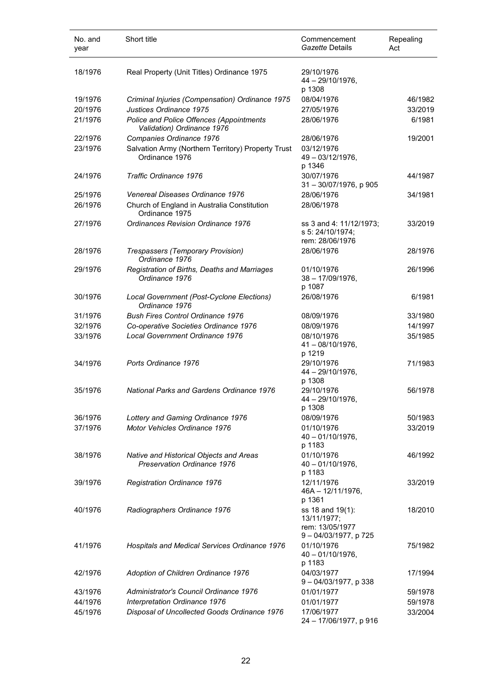| No. and<br>year | Short title                                                            | Commencement<br>Gazette Details                                           | Repealing<br>Act |
|-----------------|------------------------------------------------------------------------|---------------------------------------------------------------------------|------------------|
| 18/1976         | Real Property (Unit Titles) Ordinance 1975                             | 29/10/1976<br>44 - 29/10/1976,<br>p 1308                                  |                  |
| 19/1976         | Criminal Injuries (Compensation) Ordinance 1975                        | 08/04/1976                                                                | 46/1982          |
| 20/1976         | Justices Ordinance 1975                                                | 27/05/1976                                                                | 33/2019          |
| 21/1976         | Police and Police Offences (Appointments<br>Validation) Ordinance 1976 | 28/06/1976                                                                | 6/1981           |
| 22/1976         | Companies Ordinance 1976                                               | 28/06/1976                                                                | 19/2001          |
| 23/1976         | Salvation Army (Northern Territory) Property Trust<br>Ordinance 1976   | 03/12/1976<br>49 - 03/12/1976,<br>p 1346                                  |                  |
| 24/1976         | Traffic Ordinance 1976                                                 | 30/07/1976<br>31-30/07/1976, p 905                                        | 44/1987          |
| 25/1976         | Venereal Diseases Ordinance 1976                                       | 28/06/1976                                                                | 34/1981          |
| 26/1976         | Church of England in Australia Constitution<br>Ordinance 1975          | 28/06/1978                                                                |                  |
| 27/1976         | Ordinances Revision Ordinance 1976                                     | ss 3 and 4: 11/12/1973;<br>s 5: 24/10/1974;<br>rem: 28/06/1976            | 33/2019          |
| 28/1976         | Trespassers (Temporary Provision)<br>Ordinance 1976                    | 28/06/1976                                                                | 28/1976          |
| 29/1976         | Registration of Births, Deaths and Marriages<br>Ordinance 1976         | 01/10/1976<br>$38 - 17/09/1976$ ,<br>p 1087                               | 26/1996          |
| 30/1976         | Local Government (Post-Cyclone Elections)<br>Ordinance 1976            | 26/08/1976                                                                | 6/1981           |
| 31/1976         | <b>Bush Fires Control Ordinance 1976</b>                               | 08/09/1976                                                                | 33/1980          |
| 32/1976         | Co-operative Societies Ordinance 1976                                  | 08/09/1976                                                                | 14/1997          |
| 33/1976         | Local Government Ordinance 1976                                        | 08/10/1976<br>$41 - 08/10/1976$ ,<br>p 1219                               | 35/1985          |
| 34/1976         | Ports Ordinance 1976                                                   | 29/10/1976<br>44 - 29/10/1976,<br>p 1308                                  | 71/1983          |
| 35/1976         | National Parks and Gardens Ordinance 1976                              | 29/10/1976<br>44 – 29/10/1976,<br>p 1308                                  | 56/1978          |
| 36/1976         | Lottery and Gaming Ordinance 1976                                      | 08/09/1976                                                                | 50/1983          |
| 37/1976         | Motor Vehicles Ordinance 1976                                          | 01/10/1976<br>$40 - 01/10/1976$ ,<br>p 1183                               | 33/2019          |
| 38/1976         | Native and Historical Objects and Areas<br>Preservation Ordinance 1976 | 01/10/1976<br>$40 - 01/10/1976$ ,<br>p 1183                               | 46/1992          |
| 39/1976         | Registration Ordinance 1976                                            | 12/11/1976<br>46A - 12/11/1976,<br>p 1361                                 | 33/2019          |
| 40/1976         | Radiographers Ordinance 1976                                           | ss 18 and 19(1):<br>13/11/1977;<br>rem: 13/05/1977<br>9-04/03/1977, p 725 | 18/2010          |
| 41/1976         | Hospitals and Medical Services Ordinance 1976                          | 01/10/1976<br>$40 - 01/10/1976$ ,<br>p 1183                               | 75/1982          |
| 42/1976         | Adoption of Children Ordinance 1976                                    | 04/03/1977<br>9-04/03/1977, p 338                                         | 17/1994          |
| 43/1976         | Administrator's Council Ordinance 1976                                 | 01/01/1977                                                                | 59/1978          |
| 44/1976         | Interpretation Ordinance 1976                                          | 01/01/1977                                                                | 59/1978          |
| 45/1976         | Disposal of Uncollected Goods Ordinance 1976                           | 17/06/1977<br>24 - 17/06/1977, p 916                                      | 33/2004          |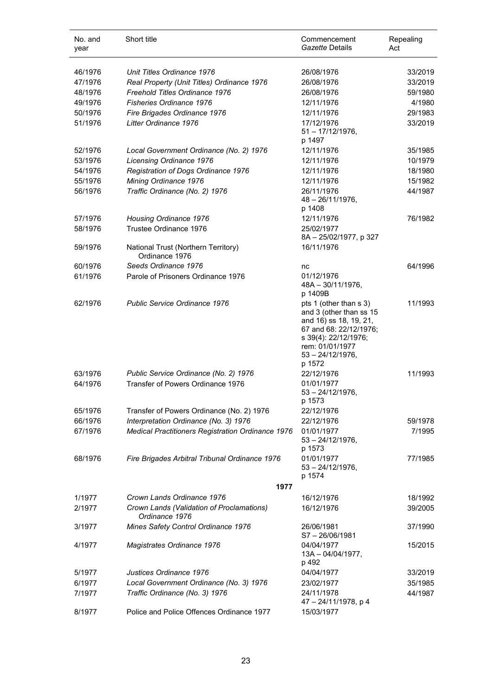| No. and<br>year | Short title                                                 | Commencement<br>Gazette Details                                                                                                                                                   | Repealing<br>Act |
|-----------------|-------------------------------------------------------------|-----------------------------------------------------------------------------------------------------------------------------------------------------------------------------------|------------------|
| 46/1976         | Unit Titles Ordinance 1976                                  | 26/08/1976                                                                                                                                                                        | 33/2019          |
| 47/1976         | Real Property (Unit Titles) Ordinance 1976                  | 26/08/1976                                                                                                                                                                        | 33/2019          |
| 48/1976         | Freehold Titles Ordinance 1976                              | 26/08/1976                                                                                                                                                                        | 59/1980          |
| 49/1976         | <b>Fisheries Ordinance 1976</b>                             | 12/11/1976                                                                                                                                                                        | 4/1980           |
| 50/1976         | Fire Brigades Ordinance 1976                                | 12/11/1976                                                                                                                                                                        | 29/1983          |
| 51/1976         | Litter Ordinance 1976                                       | 17/12/1976<br>$51 - \frac{17}{12}{1976}$<br>p 1497                                                                                                                                | 33/2019          |
| 52/1976         | Local Government Ordinance (No. 2) 1976                     | 12/11/1976                                                                                                                                                                        | 35/1985          |
| 53/1976         | Licensing Ordinance 1976                                    | 12/11/1976                                                                                                                                                                        | 10/1979          |
| 54/1976         | Registration of Dogs Ordinance 1976                         | 12/11/1976                                                                                                                                                                        | 18/1980          |
| 55/1976         | Mining Ordinance 1976                                       | 12/11/1976                                                                                                                                                                        | 15/1982          |
| 56/1976         | Traffic Ordinance (No. 2) 1976                              | 26/11/1976<br>$48 - 26/11/1976$ ,<br>p 1408                                                                                                                                       | 44/1987          |
| 57/1976         | Housing Ordinance 1976                                      | 12/11/1976                                                                                                                                                                        | 76/1982          |
| 58/1976         | Trustee Ordinance 1976                                      | 25/02/1977<br>8A - 25/02/1977, p 327                                                                                                                                              |                  |
| 59/1976         | National Trust (Northern Territory)<br>Ordinance 1976       | 16/11/1976                                                                                                                                                                        |                  |
| 60/1976         | Seeds Ordinance 1976                                        | nc                                                                                                                                                                                | 64/1996          |
| 61/1976         | Parole of Prisoners Ordinance 1976                          | 01/12/1976<br>48A - 30/11/1976,<br>p 1409B                                                                                                                                        |                  |
| 62/1976         | Public Service Ordinance 1976                               | pts 1 (other than s 3)<br>and 3 (other than ss 15<br>and 16) ss 18, 19, 21,<br>67 and 68: 22/12/1976;<br>s 39(4): 22/12/1976;<br>rem: 01/01/1977<br>$53 - 24/12/1976$ ,<br>p 1572 | 11/1993          |
| 63/1976         | Public Service Ordinance (No. 2) 1976                       | 22/12/1976                                                                                                                                                                        | 11/1993          |
| 64/1976         | Transfer of Powers Ordinance 1976                           | 01/01/1977<br>$53 - 24/12/1976$ ,<br>p 1573                                                                                                                                       |                  |
| 65/1976         | Transfer of Powers Ordinance (No. 2) 1976                   | 22/12/1976                                                                                                                                                                        |                  |
| 66/1976         | Interpretation Ordinance (No. 3) 1976                       | 22/12/1976                                                                                                                                                                        | 59/1978          |
| 67/1976         | Medical Practitioners Registration Ordinance 1976           | 01/01/1977<br>$53 - 24/12/1976$ ,<br>p 1573                                                                                                                                       | 7/1995           |
| 68/1976         | Fire Brigades Arbitral Tribunal Ordinance 1976              | 01/01/1977<br>$53 - 24/12/1976$ ,<br>p 1574                                                                                                                                       | 77/1985          |
|                 | 1977                                                        |                                                                                                                                                                                   |                  |
| 1/1977          | Crown Lands Ordinance 1976                                  | 16/12/1976                                                                                                                                                                        | 18/1992          |
| 2/1977          | Crown Lands (Validation of Proclamations)<br>Ordinance 1976 | 16/12/1976                                                                                                                                                                        | 39/2005          |
| 3/1977          | Mines Safety Control Ordinance 1976                         | 26/06/1981<br>$S7 - 26/06/1981$                                                                                                                                                   | 37/1990          |
| 4/1977          | Magistrates Ordinance 1976                                  | 04/04/1977<br>$13A - 04/04/1977,$<br>p 492                                                                                                                                        | 15/2015          |
| 5/1977          | Justices Ordinance 1976                                     | 04/04/1977                                                                                                                                                                        | 33/2019          |
| 6/1977          | Local Government Ordinance (No. 3) 1976                     | 23/02/1977                                                                                                                                                                        | 35/1985          |
| 7/1977          | Traffic Ordinance (No. 3) 1976                              | 24/11/1978<br>47 - 24/11/1978, p 4                                                                                                                                                | 44/1987          |
| 8/1977          | Police and Police Offences Ordinance 1977                   | 15/03/1977                                                                                                                                                                        |                  |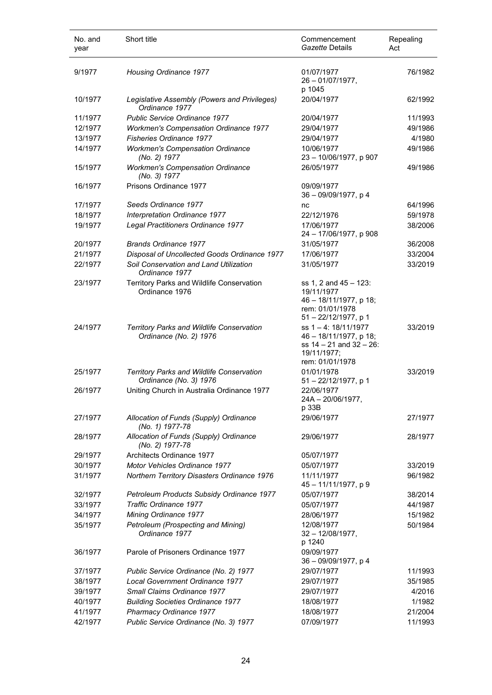| No. and<br>year | Short title                                                         | Commencement<br>Gazette Details                                                                                | Repealing<br>Act |
|-----------------|---------------------------------------------------------------------|----------------------------------------------------------------------------------------------------------------|------------------|
| 9/1977          | Housing Ordinance 1977                                              | 01/07/1977<br>$26 - 01/07/1977$ ,<br>p 1045                                                                    | 76/1982          |
| 10/1977         | Legislative Assembly (Powers and Privileges)<br>Ordinance 1977      | 20/04/1977                                                                                                     | 62/1992          |
| 11/1977         | <b>Public Service Ordinance 1977</b>                                | 20/04/1977                                                                                                     | 11/1993          |
| 12/1977         | <b>Workmen's Compensation Ordinance 1977</b>                        | 29/04/1977                                                                                                     | 49/1986          |
| 13/1977         | <b>Fisheries Ordinance 1977</b>                                     | 29/04/1977                                                                                                     | 4/1980           |
| 14/1977         | <b>Workmen's Compensation Ordinance</b><br>(No. 2) 1977             | 10/06/1977<br>23 - 10/06/1977, p 907                                                                           | 49/1986          |
| 15/1977         | <b>Workmen's Compensation Ordinance</b><br>(No. 3) 1977             | 26/05/1977                                                                                                     | 49/1986          |
| 16/1977         | Prisons Ordinance 1977                                              | 09/09/1977<br>$36 - 09/09/1977$ , p 4                                                                          |                  |
| 17/1977         | Seeds Ordinance 1977                                                | nc                                                                                                             | 64/1996          |
| 18/1977         | Interpretation Ordinance 1977                                       | 22/12/1976                                                                                                     | 59/1978          |
| 19/1977         | Legal Practitioners Ordinance 1977                                  | 17/06/1977<br>24 - 17/06/1977, p 908                                                                           | 38/2006          |
| 20/1977         | <b>Brands Ordinance 1977</b>                                        | 31/05/1977                                                                                                     | 36/2008          |
| 21/1977         | Disposal of Uncollected Goods Ordinance 1977                        | 17/06/1977                                                                                                     | 33/2004          |
| 22/1977         | Soil Conservation and Land Utilization<br>Ordinance 1977            | 31/05/1977                                                                                                     | 33/2019          |
| 23/1977         | Territory Parks and Wildlife Conservation<br>Ordinance 1976         | ss 1, 2 and 45 - 123:<br>19/11/1977<br>46 - 18/11/1977, p 18;<br>rem: 01/01/1978<br>$51 - 22/12/1977$ , p 1    |                  |
| 24/1977         | Territory Parks and Wildlife Conservation<br>Ordinance (No. 2) 1976 | ss 1-4: 18/11/1977<br>46 - 18/11/1977, p 18;<br>ss $14 - 21$ and $32 - 26$ :<br>19/11/1977;<br>rem: 01/01/1978 | 33/2019          |
| 25/1977         | Territory Parks and Wildlife Conservation<br>Ordinance (No. 3) 1976 | 01/01/1978<br>$51 - 22/12/1977$ , p 1                                                                          | 33/2019          |
| 26/1977         | Uniting Church in Australia Ordinance 1977                          | 22/06/1977<br>$24A - 20/06/1977$ ,<br>p 33B                                                                    |                  |
| 27/1977         | Allocation of Funds (Supply) Ordinance<br>(No. 1) 1977-78           | 29/06/1977                                                                                                     | 27/1977          |
| 28/1977         | Allocation of Funds (Supply) Ordinance<br>(No. 2) 1977-78           | 29/06/1977                                                                                                     | 28/1977          |
| 29/1977         | Architects Ordinance 1977                                           | 05/07/1977                                                                                                     |                  |
| 30/1977         | Motor Vehicles Ordinance 1977                                       | 05/07/1977                                                                                                     | 33/2019          |
| 31/1977         | Northern Territory Disasters Ordinance 1976                         | 11/11/1977<br>45-11/11/1977, p 9                                                                               | 96/1982          |
| 32/1977         | Petroleum Products Subsidy Ordinance 1977                           | 05/07/1977                                                                                                     | 38/2014          |
| 33/1977         | <b>Traffic Ordinance 1977</b>                                       | 05/07/1977                                                                                                     | 44/1987          |
| 34/1977         | Mining Ordinance 1977                                               | 28/06/1977                                                                                                     | 15/1982          |
| 35/1977         | Petroleum (Prospecting and Mining)<br>Ordinance 1977                | 12/08/1977<br>$32 - 12/08/1977$ ,<br>p 1240                                                                    | 50/1984          |
| 36/1977         | Parole of Prisoners Ordinance 1977                                  | 09/09/1977<br>36 - 09/09/1977, p 4                                                                             |                  |
| 37/1977         | Public Service Ordinance (No. 2) 1977                               | 29/07/1977                                                                                                     | 11/1993          |
| 38/1977         | Local Government Ordinance 1977                                     | 29/07/1977                                                                                                     | 35/1985          |
| 39/1977         | Small Claims Ordinance 1977                                         | 29/07/1977                                                                                                     | 4/2016           |
| 40/1977         | <b>Building Societies Ordinance 1977</b>                            | 18/08/1977                                                                                                     | 1/1982           |
| 41/1977         | Pharmacy Ordinance 1977                                             | 18/08/1977                                                                                                     | 21/2004          |
| 42/1977         | Public Service Ordinance (No. 3) 1977                               | 07/09/1977                                                                                                     | 11/1993          |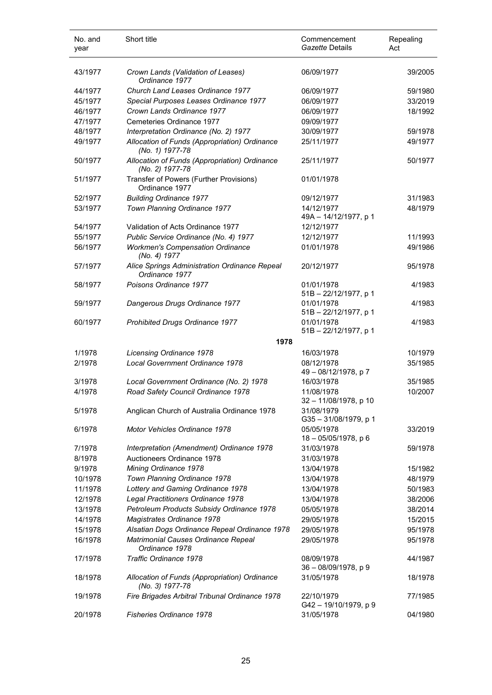| No. and<br>year | Short title                                                      | Commencement<br>Gazette Details        | Repealing<br>Act |
|-----------------|------------------------------------------------------------------|----------------------------------------|------------------|
| 43/1977         | Crown Lands (Validation of Leases)<br>Ordinance 1977             | 06/09/1977                             | 39/2005          |
| 44/1977         | Church Land Leases Ordinance 1977                                | 06/09/1977                             | 59/1980          |
| 45/1977         | Special Purposes Leases Ordinance 1977                           | 06/09/1977                             | 33/2019          |
| 46/1977         | Crown Lands Ordinance 1977                                       | 06/09/1977                             | 18/1992          |
| 47/1977         | Cemeteries Ordinance 1977                                        | 09/09/1977                             |                  |
| 48/1977         | Interpretation Ordinance (No. 2) 1977                            | 30/09/1977                             | 59/1978          |
| 49/1977         | Allocation of Funds (Appropriation) Ordinance<br>(No. 1) 1977-78 | 25/11/1977                             | 49/1977          |
| 50/1977         | Allocation of Funds (Appropriation) Ordinance<br>(No. 2) 1977-78 | 25/11/1977                             | 50/1977          |
| 51/1977         | Transfer of Powers (Further Provisions)<br>Ordinance 1977        | 01/01/1978                             |                  |
| 52/1977         | <b>Building Ordinance 1977</b>                                   | 09/12/1977                             | 31/1983          |
| 53/1977         | Town Planning Ordinance 1977                                     | 14/12/1977<br>49A - 14/12/1977, p 1    | 48/1979          |
| 54/1977         | Validation of Acts Ordinance 1977                                | 12/12/1977                             |                  |
| 55/1977         | Public Service Ordinance (No. 4) 1977                            | 12/12/1977                             | 11/1993          |
| 56/1977         | <b>Workmen's Compensation Ordinance</b><br>(No. 4) 1977          | 01/01/1978                             | 49/1986          |
| 57/1977         | Alice Springs Administration Ordinance Repeal<br>Ordinance 1977  | 20/12/1977                             | 95/1978          |
| 58/1977         | Poisons Ordinance 1977                                           | 01/01/1978<br>$51B - 22/12/1977$ , p 1 | 4/1983           |
| 59/1977         | Dangerous Drugs Ordinance 1977                                   | 01/01/1978<br>51B - 22/12/1977, p 1    | 4/1983           |
| 60/1977         | Prohibited Drugs Ordinance 1977                                  | 01/01/1978<br>51B - 22/12/1977, p 1    | 4/1983           |
|                 | 1978                                                             |                                        |                  |
| 1/1978          | Licensing Ordinance 1978                                         | 16/03/1978                             | 10/1979          |
| 2/1978          | Local Government Ordinance 1978                                  | 08/12/1978<br>49 - 08/12/1978, p 7     | 35/1985          |
| 3/1978          | Local Government Ordinance (No. 2) 1978                          | 16/03/1978                             | 35/1985          |
| 4/1978          | Road Safety Council Ordinance 1978                               | 11/08/1978<br>32 - 11/08/1978, p 10    | 10/2007          |
| 5/1978          | Anglican Church of Australia Ordinance 1978                      | 31/08/1979<br>G35-31/08/1979, p 1      |                  |
| 6/1978          | Motor Vehicles Ordinance 1978                                    | 05/05/1978<br>18 - 05/05/1978, p 6     | 33/2019          |
| 7/1978          | Interpretation (Amendment) Ordinance 1978                        | 31/03/1978                             | 59/1978          |
| 8/1978          | Auctioneers Ordinance 1978                                       | 31/03/1978                             |                  |
| 9/1978          | Mining Ordinance 1978                                            | 13/04/1978                             | 15/1982          |
| 10/1978         | Town Planning Ordinance 1978                                     | 13/04/1978                             | 48/1979          |
| 11/1978         | Lottery and Gaming Ordinance 1978                                | 13/04/1978                             | 50/1983          |
| 12/1978         | Legal Practitioners Ordinance 1978                               | 13/04/1978                             | 38/2006          |
| 13/1978         | Petroleum Products Subsidy Ordinance 1978                        | 05/05/1978                             | 38/2014          |
| 14/1978         | Magistrates Ordinance 1978                                       | 29/05/1978                             | 15/2015          |
| 15/1978         | Alsatian Dogs Ordinance Repeal Ordinance 1978                    | 29/05/1978                             | 95/1978          |
| 16/1978         | Matrimonial Causes Ordinance Repeal<br>Ordinance 1978            | 29/05/1978                             | 95/1978          |
| 17/1978         | Traffic Ordinance 1978                                           | 08/09/1978<br>36 - 08/09/1978, p 9     | 44/1987          |
| 18/1978         | Allocation of Funds (Appropriation) Ordinance<br>(No. 3) 1977-78 | 31/05/1978                             | 18/1978          |
| 19/1978         | Fire Brigades Arbitral Tribunal Ordinance 1978                   | 22/10/1979<br>G42-19/10/1979, p 9      | 77/1985          |
| 20/1978         | <b>Fisheries Ordinance 1978</b>                                  | 31/05/1978                             | 04/1980          |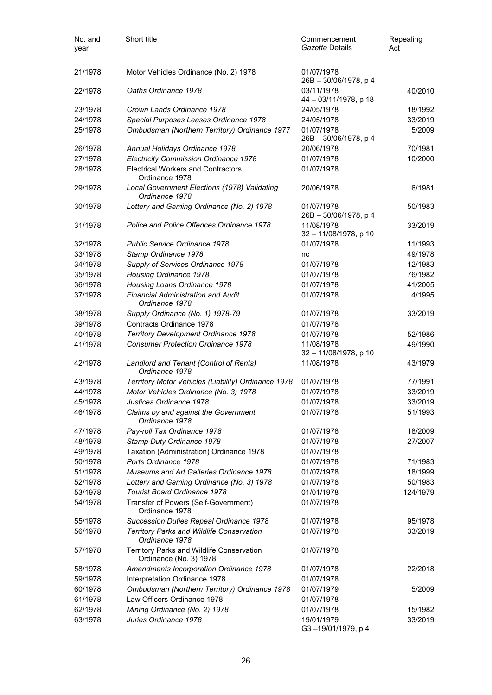| No. and<br>year | Short title                                                         | Commencement<br>Gazette Details        | Repealing<br>Act |
|-----------------|---------------------------------------------------------------------|----------------------------------------|------------------|
| 21/1978         | Motor Vehicles Ordinance (No. 2) 1978                               | 01/07/1978                             |                  |
|                 |                                                                     | 26B - 30/06/1978, p 4                  |                  |
| 22/1978         | Oaths Ordinance 1978                                                | 03/11/1978<br>44 - 03/11/1978, p 18    | 40/2010          |
| 23/1978         | Crown Lands Ordinance 1978                                          | 24/05/1978                             | 18/1992          |
| 24/1978         | Special Purposes Leases Ordinance 1978                              | 24/05/1978                             | 33/2019          |
| 25/1978         | Ombudsman (Northern Territory) Ordinance 1977                       | 01/07/1978<br>$26B - 30/06/1978$ , p 4 | 5/2009           |
| 26/1978         | Annual Holidays Ordinance 1978                                      | 20/06/1978                             | 70/1981          |
| 27/1978         | <b>Electricity Commission Ordinance 1978</b>                        | 01/07/1978                             | 10/2000          |
| 28/1978         | <b>Electrical Workers and Contractors</b><br>Ordinance 1978         | 01/07/1978                             |                  |
| 29/1978         | Local Government Elections (1978) Validating<br>Ordinance 1978      | 20/06/1978                             | 6/1981           |
| 30/1978         | Lottery and Gaming Ordinance (No. 2) 1978                           | 01/07/1978<br>26B - 30/06/1978, p 4    | 50/1983          |
| 31/1978         | Police and Police Offences Ordinance 1978                           | 11/08/1978<br>32 - 11/08/1978, p 10    | 33/2019          |
| 32/1978         | <b>Public Service Ordinance 1978</b>                                | 01/07/1978                             | 11/1993          |
| 33/1978         | Stamp Ordinance 1978                                                | nc                                     | 49/1978          |
| 34/1978         | Supply of Services Ordinance 1978                                   | 01/07/1978                             | 12/1983          |
| 35/1978         | Housing Ordinance 1978                                              | 01/07/1978                             | 76/1982          |
| 36/1978         | Housing Loans Ordinance 1978                                        | 01/07/1978                             | 41/2005          |
| 37/1978         | <b>Financial Administration and Audit</b><br>Ordinance 1978         | 01/07/1978                             | 4/1995           |
| 38/1978         | Supply Ordinance (No. 1) 1978-79                                    | 01/07/1978                             | 33/2019          |
| 39/1978         | Contracts Ordinance 1978                                            | 01/07/1978                             |                  |
| 40/1978         | Territory Development Ordinance 1978                                | 01/07/1978                             | 52/1986          |
| 41/1978         | <b>Consumer Protection Ordinance 1978</b>                           | 11/08/1978<br>32 - 11/08/1978, p 10    | 49/1990          |
| 42/1978         | Landlord and Tenant (Control of Rents)<br>Ordinance 1978            | 11/08/1978                             | 43/1979          |
| 43/1978         | Territory Motor Vehicles (Liability) Ordinance 1978                 | 01/07/1978                             | 77/1991          |
| 44/1978         | Motor Vehicles Ordinance (No. 3) 1978                               | 01/07/1978                             | 33/2019          |
| 45/1978         | Justices Ordinance 1978                                             | 01/07/1978                             | 33/2019          |
| 46/1978         | Claims by and against the Government<br>Ordinance 1978              | 01/07/1978                             | 51/1993          |
| 47/1978         | Pay-roll Tax Ordinance 1978                                         | 01/07/1978                             | 18/2009          |
| 48/1978         | Stamp Duty Ordinance 1978                                           | 01/07/1978                             | 27/2007          |
| 49/1978         | Taxation (Administration) Ordinance 1978                            | 01/07/1978                             |                  |
| 50/1978         | Ports Ordinance 1978                                                | 01/07/1978                             | 71/1983          |
| 51/1978         | Museums and Art Galleries Ordinance 1978                            | 01/07/1978                             | 18/1999          |
| 52/1978         | Lottery and Gaming Ordinance (No. 3) 1978                           | 01/07/1978                             | 50/1983          |
| 53/1978         | Tourist Board Ordinance 1978                                        | 01/01/1978                             | 124/1979         |
| 54/1978         | Transfer of Powers (Self-Government)<br>Ordinance 1978              | 01/07/1978                             |                  |
| 55/1978         | Succession Duties Repeal Ordinance 1978                             | 01/07/1978                             | 95/1978          |
| 56/1978         | Territory Parks and Wildlife Conservation<br>Ordinance 1978         | 01/07/1978                             | 33/2019          |
| 57/1978         | Territory Parks and Wildlife Conservation<br>Ordinance (No. 3) 1978 | 01/07/1978                             |                  |
| 58/1978         | Amendments Incorporation Ordinance 1978                             | 01/07/1978                             | 22/2018          |
| 59/1978         | Interpretation Ordinance 1978                                       | 01/07/1978                             |                  |
| 60/1978         | Ombudsman (Northern Territory) Ordinance 1978                       | 01/07/1979                             | 5/2009           |
| 61/1978         | Law Officers Ordinance 1978                                         | 01/07/1978                             |                  |
| 62/1978         | Mining Ordinance (No. 2) 1978                                       | 01/07/1978                             | 15/1982          |
| 63/1978         | Juries Ordinance 1978                                               | 19/01/1979<br>G3-19/01/1979, p 4       | 33/2019          |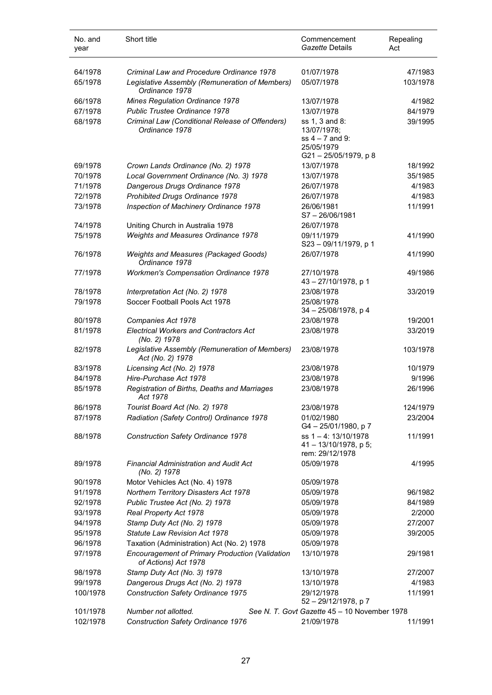| No. and<br>year | Short title                                                                    | Commencement<br>Gazette Details                                        | Repealing<br>Act |
|-----------------|--------------------------------------------------------------------------------|------------------------------------------------------------------------|------------------|
| 64/1978         | Criminal Law and Procedure Ordinance 1978                                      | 01/07/1978                                                             | 47/1983          |
| 65/1978         | Legislative Assembly (Remuneration of Members)<br>Ordinance 1978               | 05/07/1978                                                             | 103/1978         |
| 66/1978         | Mines Regulation Ordinance 1978                                                | 13/07/1978                                                             | 4/1982           |
| 67/1978         | <b>Public Trustee Ordinance 1978</b>                                           | 13/07/1978                                                             | 84/1979          |
| 68/1978         | Criminal Law (Conditional Release of Offenders)<br>Ordinance 1978              | ss 1, 3 and 8:<br>13/07/1978;<br>ss $4 - 7$ and 9:<br>25/05/1979       | 39/1995          |
| 69/1978         | Crown Lands Ordinance (No. 2) 1978                                             | G21-25/05/1979, p 8<br>13/07/1978                                      | 18/1992          |
| 70/1978         | Local Government Ordinance (No. 3) 1978                                        | 13/07/1978                                                             | 35/1985          |
| 71/1978         | Dangerous Drugs Ordinance 1978                                                 | 26/07/1978                                                             | 4/1983           |
| 72/1978         | Prohibited Drugs Ordinance 1978                                                | 26/07/1978                                                             | 4/1983           |
| 73/1978         | Inspection of Machinery Ordinance 1978                                         | 26/06/1981<br>$S7 - 26/06/1981$                                        | 11/1991          |
| 74/1978         | Uniting Church in Australia 1978                                               | 26/07/1978                                                             |                  |
| 75/1978         | Weights and Measures Ordinance 1978                                            | 09/11/1979<br>S23-09/11/1979, p 1                                      | 41/1990          |
| 76/1978         | Weights and Measures (Packaged Goods)<br>Ordinance 1978                        | 26/07/1978                                                             | 41/1990          |
| 77/1978         | <b>Workmen's Compensation Ordinance 1978</b>                                   | 27/10/1978<br>43 - 27/10/1978, p 1                                     | 49/1986          |
| 78/1978         | Interpretation Act (No. 2) 1978                                                | 23/08/1978                                                             | 33/2019          |
| 79/1978         | Soccer Football Pools Act 1978                                                 | 25/08/1978<br>$34 - 25/08/1978$ , p 4                                  |                  |
| 80/1978         | Companies Act 1978                                                             | 23/08/1978                                                             | 19/2001          |
| 81/1978         | <b>Electrical Workers and Contractors Act</b><br>(No. 2) 1978                  | 23/08/1978                                                             | 33/2019          |
| 82/1978         | Legislative Assembly (Remuneration of Members)<br>Act (No. 2) 1978             | 23/08/1978                                                             | 103/1978         |
| 83/1978         | Licensing Act (No. 2) 1978                                                     | 23/08/1978                                                             | 10/1979          |
| 84/1978         | Hire-Purchase Act 1978                                                         | 23/08/1978                                                             | 9/1996           |
| 85/1978         | Registration of Births, Deaths and Marriages<br>Act 1978                       | 23/08/1978                                                             | 26/1996          |
| 86/1978         | Tourist Board Act (No. 2) 1978                                                 | 23/08/1978                                                             | 124/1979         |
| 87/1978         | Radiation (Safety Control) Ordinance 1978                                      | 01/02/1980<br>G4-25/01/1980, p7                                        | 23/2004          |
| 88/1978         | <b>Construction Safety Ordinance 1978</b>                                      | ss $1 - 4$ : 13/10/1978<br>$41 - 13/10/1978$ , p 5;<br>rem: 29/12/1978 | 11/1991          |
| 89/1978         | Financial Administration and Audit Act<br>(No. 2) 1978                         | 05/09/1978                                                             | 4/1995           |
| 90/1978         | Motor Vehicles Act (No. 4) 1978                                                | 05/09/1978                                                             |                  |
| 91/1978         | Northern Territory Disasters Act 1978                                          | 05/09/1978                                                             | 96/1982          |
| 92/1978         | Public Trustee Act (No. 2) 1978                                                | 05/09/1978                                                             | 84/1989          |
| 93/1978         | Real Property Act 1978                                                         | 05/09/1978                                                             | 2/2000           |
| 94/1978         | Stamp Duty Act (No. 2) 1978                                                    | 05/09/1978                                                             | 27/2007          |
| 95/1978         | <b>Statute Law Revision Act 1978</b>                                           | 05/09/1978                                                             | 39/2005          |
| 96/1978         | Taxation (Administration) Act (No. 2) 1978                                     | 05/09/1978                                                             |                  |
| 97/1978         | <b>Encouragement of Primary Production (Validation</b><br>of Actions) Act 1978 | 13/10/1978                                                             | 29/1981          |
| 98/1978         | Stamp Duty Act (No. 3) 1978                                                    | 13/10/1978                                                             | 27/2007          |
| 99/1978         | Dangerous Drugs Act (No. 2) 1978                                               | 13/10/1978                                                             | 4/1983           |
| 100/1978        | <b>Construction Safety Ordinance 1975</b>                                      | 29/12/1978<br>52 - 29/12/1978, p 7                                     | 11/1991          |
| 101/1978        | Number not allotted.                                                           | See N. T. Govt Gazette 45 - 10 November 1978                           |                  |
| 102/1978        | <b>Construction Safety Ordinance 1976</b>                                      | 21/09/1978                                                             | 11/1991          |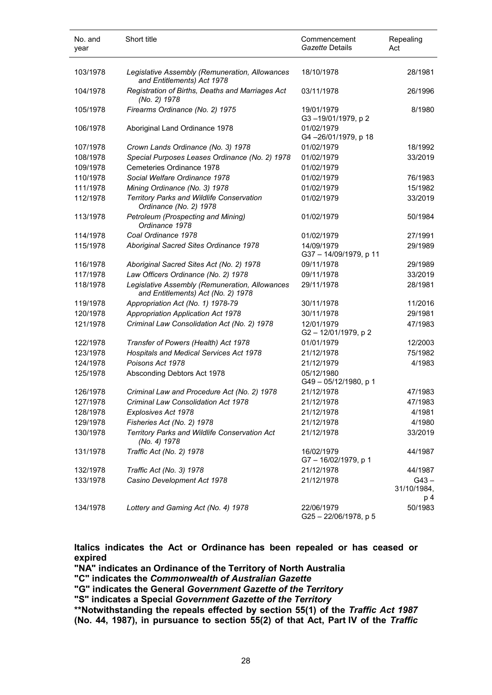| No. and<br>year | Short title                                                                          | Commencement<br>Gazette Details    | Repealing<br>Act       |
|-----------------|--------------------------------------------------------------------------------------|------------------------------------|------------------------|
| 103/1978        | Legislative Assembly (Remuneration, Allowances<br>and Entitlements) Act 1978         | 18/10/1978                         | 28/1981                |
| 104/1978        | Registration of Births, Deaths and Marriages Act<br>(No. 2) 1978                     | 03/11/1978                         | 26/1996                |
| 105/1978        | Firearms Ordinance (No. 2) 1975                                                      | 19/01/1979<br>G3-19/01/1979, p 2   | 8/1980                 |
| 106/1978        | Aboriginal Land Ordinance 1978                                                       | 01/02/1979<br>G4-26/01/1979, p 18  |                        |
| 107/1978        | Crown Lands Ordinance (No. 3) 1978                                                   | 01/02/1979                         | 18/1992                |
| 108/1978        | Special Purposes Leases Ordinance (No. 2) 1978                                       | 01/02/1979                         | 33/2019                |
| 109/1978        | Cemeteries Ordinance 1978                                                            | 01/02/1979                         |                        |
| 110/1978        | Social Welfare Ordinance 1978                                                        | 01/02/1979                         | 76/1983                |
| 111/1978        | Mining Ordinance (No. 3) 1978                                                        | 01/02/1979                         | 15/1982                |
|                 | Territory Parks and Wildlife Conservation                                            |                                    |                        |
| 112/1978        | Ordinance (No. 2) 1978                                                               | 01/02/1979                         | 33/2019                |
| 113/1978        | Petroleum (Prospecting and Mining)<br>Ordinance 1978                                 | 01/02/1979                         | 50/1984                |
| 114/1978        | Coal Ordinance 1978                                                                  | 01/02/1979                         | 27/1991                |
| 115/1978        | Aboriginal Sacred Sites Ordinance 1978                                               | 14/09/1979<br>G37-14/09/1979, p 11 | 29/1989                |
| 116/1978        | Aboriginal Sacred Sites Act (No. 2) 1978                                             | 09/11/1978                         | 29/1989                |
| 117/1978        | Law Officers Ordinance (No. 2) 1978                                                  | 09/11/1978                         | 33/2019                |
| 118/1978        | Legislative Assembly (Remuneration, Allowances<br>and Entitlements) Act (No. 2) 1978 | 29/11/1978                         | 28/1981                |
| 119/1978        | Appropriation Act (No. 1) 1978-79                                                    | 30/11/1978                         | 11/2016                |
| 120/1978        | <b>Appropriation Application Act 1978</b>                                            | 30/11/1978                         | 29/1981                |
| 121/1978        | Criminal Law Consolidation Act (No. 2) 1978                                          | 12/01/1979<br>G2-12/01/1979, p2    | 47/1983                |
| 122/1978        | Transfer of Powers (Health) Act 1978                                                 | 01/01/1979                         | 12/2003                |
| 123/1978        | Hospitals and Medical Services Act 1978                                              | 21/12/1978                         | 75/1982                |
| 124/1978        | Poisons Act 1978                                                                     | 21/12/1979                         | 4/1983                 |
| 125/1978        | Absconding Debtors Act 1978                                                          | 05/12/1980<br>G49-05/12/1980, p 1  |                        |
| 126/1978        | Criminal Law and Procedure Act (No. 2) 1978                                          | 21/12/1978                         | 47/1983                |
| 127/1978        | Criminal Law Consolidation Act 1978                                                  | 21/12/1978                         | 47/1983                |
| 128/1978        | Explosives Act 1978                                                                  | 21/12/1978                         | 4/1981                 |
| 129/1978        | Fisheries Act (No. 2) 1978                                                           | 21/12/1978                         | 4/1980                 |
| 130/1978        | Territory Parks and Wildlife Conservation Act<br>(No. 4) 1978                        | 21/12/1978                         | 33/2019                |
| 131/1978        | Traffic Act (No. 2) 1978                                                             | 16/02/1979<br>G7-16/02/1979, p 1   | 44/1987                |
| 132/1978        | Traffic Act (No. 3) 1978                                                             | 21/12/1978                         | 44/1987                |
| 133/1978        | Casino Development Act 1978                                                          | 21/12/1978                         | $G43 -$<br>31/10/1984, |
|                 |                                                                                      |                                    | p 4                    |
| 134/1978        | Lottery and Gaming Act (No. 4) 1978                                                  | 22/06/1979<br>G25-22/06/1978, p 5  | 50/1983                |

**Italics indicates the Act or Ordinance has been repealed or has ceased or expired**

**"NA" indicates an Ordinance of the Territory of North Australia**

**"C" indicates the** *Commonwealth of Australian Gazette*

**"G" indicates the General** *Government Gazette of the Territory*

**"S" indicates a Special** *Government Gazette of the Territory*

**\*\*Notwithstanding the repeals effected by section 55(1) of the** *Traffic Act 1987* **(No. 44, 1987), in pursuance to section 55(2) of that Act, Part IV of the** *Traffic*